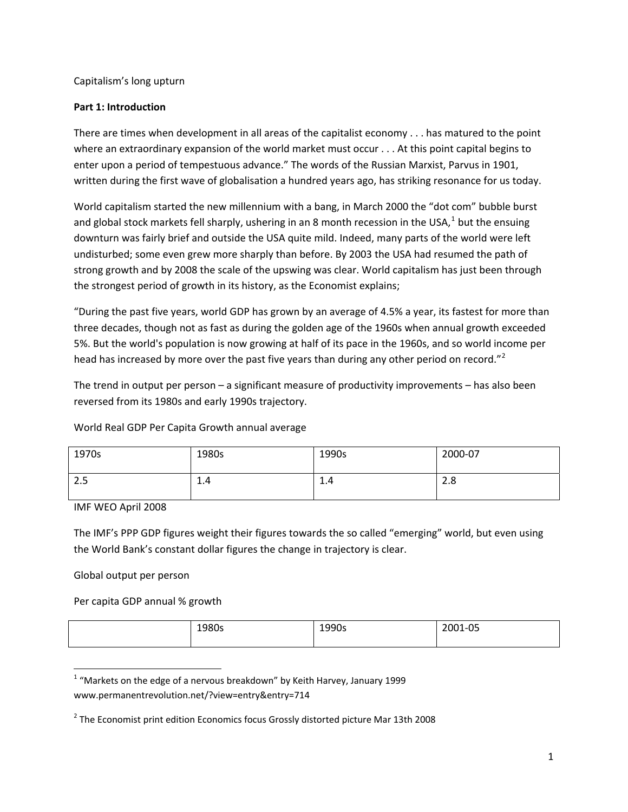### Capitalism's long upturn

### **Part 1: Introduction**

There are times when development in all areas of the capitalist economy . . . has matured to the point where an extraordinary expansion of the world market must occur . . . At this point capital begins to enter upon a period of tempestuous advance." The words of the Russian Marxist, Parvus in 1901, written during the first wave of globalisation a hundred years ago, has striking resonance for us today.

World capitalism started the new millennium with a bang, in March 2000 the "dot com" bubble burst and global stock markets fell sharply, ushering in an 8 month recession in the USA, $1$  but the ensuing downturn was fairly brief and outside the USA quite mild. Indeed, many parts of the world were left undisturbed; some even grew more sharply than before. By 2003 the USA had resumed the path of strong growth and by 2008 the scale of the upswing was clear. World capitalism has just been through the strongest period of growth in its history, as the Economist explains;

"During the past five years, world GDP has grown by an average of 4.5% a year, its fastest for more than three decades, though not as fast as during the golden age of the 1960s when annual growth exceeded 5%. But the world's population is now growing at half of its pace in the 1960s, and so world income per head has increased by more over the past five years than during any other period on record."<sup>[2](#page-0-1)</sup>

The trend in output per person – a significant measure of productivity improvements – has also been reversed from its 1980s and early 1990s trajectory.

World Real GDP Per Capita Growth annual average

| 1970s | 1980s | 1990s                       | 2000-07  |
|-------|-------|-----------------------------|----------|
| 2.5   | 1.4   | $\blacktriangleleft$<br>1.4 | 2.8<br>ີ |

IMF WEO April 2008

The IMF's PPP GDP figures weight their figures towards the so called "emerging" world, but even using the World Bank's constant dollar figures the change in trajectory is clear.

### Global output per person

Per capita GDP annual % growth

| .<br>- - - | ັ<br>__<br>- - | $\sim$<br>ັັ<br>- - |  |
|------------|----------------|---------------------|--|
|------------|----------------|---------------------|--|

<span id="page-0-0"></span> $1$  "Markets on the edge of a nervous breakdown" by Keith Harvey, January 1999 www.permanentrevolution.net/?view=entry&entry=714

<span id="page-0-1"></span><sup>&</sup>lt;sup>2</sup> The Economist print edition Economics focus Grossly distorted picture Mar 13th 2008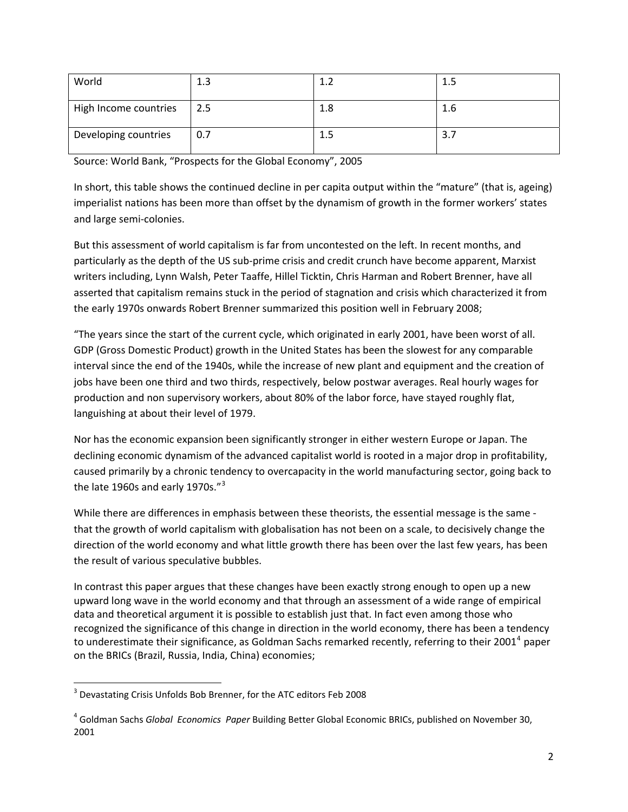| World                 | 1.3 |     |     |
|-----------------------|-----|-----|-----|
| High Income countries | 2.5 | 1.8 | 1.6 |
| Developing countries  | 0.7 | 1.5 | 3.7 |

Source: World Bank, "Prospects for the Global Economy", 2005

In short, this table shows the continued decline in per capita output within the "mature" (that is, ageing) imperialist nations has been more than offset by the dynamism of growth in the former workers' states and large semi‐colonies.

But this assessment of world capitalism is far from uncontested on the left. In recent months, and particularly as the depth of the US sub‐prime crisis and credit crunch have become apparent, Marxist writers including, Lynn Walsh, Peter Taaffe, Hillel Ticktin, Chris Harman and Robert Brenner, have all asserted that capitalism remains stuck in the period of stagnation and crisis which characterized it from the early 1970s onwards Robert Brenner summarized this position well in February 2008;

"The years since the start of the current cycle, which originated in early 2001, have been worst of all. GDP (Gross Domestic Product) growth in the United States has been the slowest for any comparable interval since the end of the 1940s, while the increase of new plant and equipment and the creation of jobs have been one third and two thirds, respectively, below postwar averages. Real hourly wages for production and non supervisory workers, about 80% of the labor force, have stayed roughly flat, languishing at about their level of 1979.

Nor has the economic expansion been significantly stronger in either western Europe or Japan. The declining economic dynamism of the advanced capitalist world is rooted in a major drop in profitability, caused primarily by a chronic tendency to overcapacity in the world manufacturing sector, going back to the late 1960s and early 1970s." $3$ 

While there are differences in emphasis between these theorists, the essential message is the same ‐ that the growth of world capitalism with globalisation has not been on a scale, to decisively change the direction of the world economy and what little growth there has been over the last few years, has been the result of various speculative bubbles.

In contrast this paper argues that these changes have been exactly strong enough to open up a new upward long wave in the world economy and that through an assessment of a wide range of empirical data and theoretical argument it is possible to establish just that. In fact even among those who recognized the significance of this change in direction in the world economy, there has been a tendency to underestimate their significance, as Goldman Sachs remarked recently, referring to their 2001<sup>[4](#page-1-1)</sup> paper on the BRICs (Brazil, Russia, India, China) economies;

<span id="page-1-0"></span><sup>3</sup> Devastating Crisis Unfolds Bob Brenner, for the ATC editors Feb 2008

<span id="page-1-1"></span><sup>4</sup> Goldman Sachs *Global Economics Paper* Building Better Global Economic BRICs, published on November 30, 2001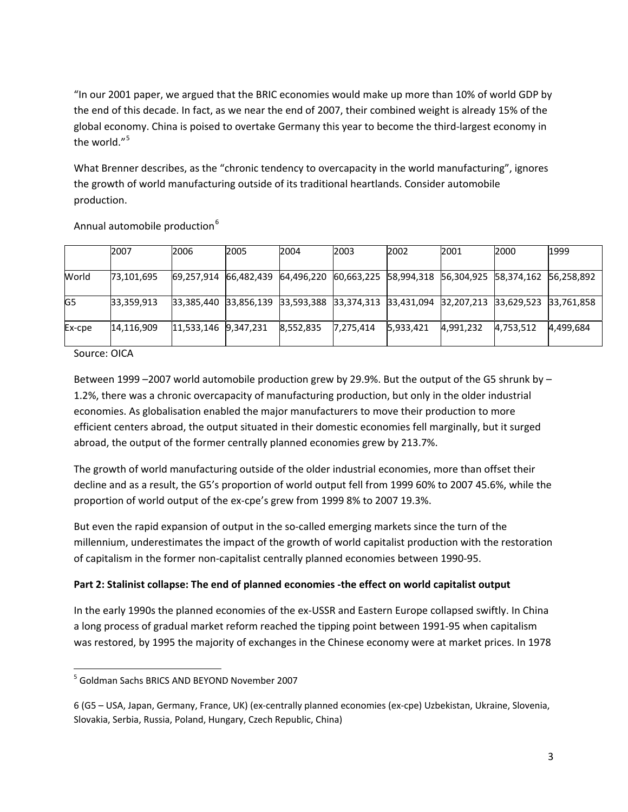"In our 2001 paper, we argued that the BRIC economies would make up more than 10% of world GDP by the end of this decade. In fact, as we near the end of 2007, their combined weight is already 15% of the global economy. China is poised to overtake Germany this year to become the third-largest economy in the world."<sup>[5](#page-2-0)</sup>

What Brenner describes, as the "chronic tendency to overcapacity in the world manufacturing", ignores the growth of world manufacturing outside of its traditional heartlands. Consider automobile production.

|           | 2007       | 2006                    | <b>2005</b> | 2004      | 2003      | 2002                                                                                    | 2001      | 2000      | 1999      |
|-----------|------------|-------------------------|-------------|-----------|-----------|-----------------------------------------------------------------------------------------|-----------|-----------|-----------|
| World     | 73,101,695 | 69.257.914              | 66,482,439  |           |           | 64,496,220 60,663,225 58,994,318 56,304,925 58,374,162 56,258,892                       |           |           |           |
| G5        | 33,359,913 |                         |             |           |           | 33,385,440 33,856,139 33,593,388 33,374,313 33,431,094 32,207,213 33,629,523 33,761,858 |           |           |           |
| $Ex$ -cpe | 14,116,909 | $ 11,533,146$ 9,347,231 |             | 8,552,835 | 7,275,414 | 5,933,421                                                                               | 4,991,232 | 4,753,512 | 4.499.684 |

Annual automobile production<sup>[6](#page-2-1)</sup>

Source: OICA

Between 1999 –2007 world automobile production grew by 29.9%. But the output of the G5 shrunk by – 1.2%, there was a chronic overcapacity of manufacturing production, but only in the older industrial economies. As globalisation enabled the major manufacturers to move their production to more efficient centers abroad, the output situated in their domestic economies fell marginally, but it surged abroad, the output of the former centrally planned economies grew by 213.7%.

The growth of world manufacturing outside of the older industrial economies, more than offset their decline and as a result, the G5's proportion of world output fell from 1999 60% to 2007 45.6%, while the proportion of world output of the ex‐cpe's grew from 1999 8% to 2007 19.3%.

But even the rapid expansion of output in the so-called emerging markets since the turn of the millennium, underestimates the impact of the growth of world capitalist production with the restoration of capitalism in the former non‐capitalist centrally planned economies between 1990‐95.

## **Part 2: Stalinist collapse: The end of planned economies ‐the effect on world capitalist output**

In the early 1990s the planned economies of the ex‐USSR and Eastern Europe collapsed swiftly. In China a long process of gradual market reform reached the tipping point between 1991‐95 when capitalism was restored, by 1995 the majority of exchanges in the Chinese economy were at market prices. In 1978

<span id="page-2-0"></span><sup>5</sup> Goldman Sachs BRICS AND BEYOND November 2007

<span id="page-2-1"></span><sup>6</sup> (G5 – USA, Japan, Germany, France, UK) (ex‐centrally planned economies (ex‐cpe) Uzbekistan, Ukraine, Slovenia, Slovakia, Serbia, Russia, Poland, Hungary, Czech Republic, China)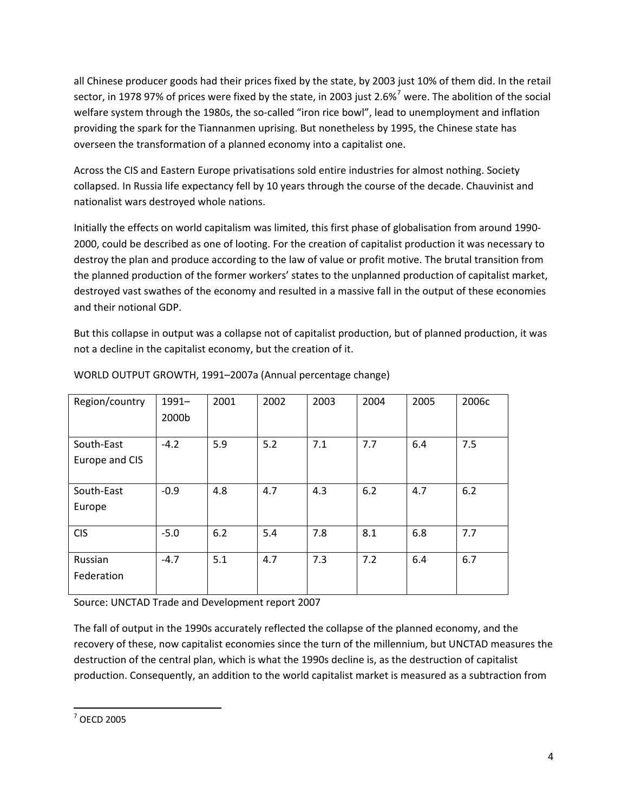all Chinese producer goods had their prices fixed by the state, by 2003 just 10% of them did. In the retail sector, in 19[7](#page-3-0)8 97% of prices were fixed by the state, in 2003 just 2.6%<sup>7</sup> were. The abolition of the social welfare system through the 1980s, the so-called "iron rice bowl", lead to unemployment and inflation providing the spark for the Tiannanmen uprising. But nonetheless by 1995, the Chinese state has overseen the transformation of a planned economy into a capitalist one.

Across the CIS and Eastern Europe privatisations sold entire industries for almost nothing. Society collapsed. In Russia life expectancy fell by 10 years through the course of the decade. Chauvinist and nationalist wars destroyed whole nations.

Initially the effects on world capitalism was limited, this first phase of globalisation from around 1990‐ 2000, could be described as one of looting. For the creation of capitalist production it was necessary to destroy the plan and produce according to the law of value or profit motive. The brutal transition from the planned production of the former workers' states to the unplanned production of capitalist market, destroyed vast swathes of the economy and resulted in a massive fall in the output of these economies and their notional GDP.

But this collapse in output was a collapse not of capitalist production, but of planned production, it was not a decline in the capitalist economy, but the creation of it.

| Region/country | $1991 -$<br>2000b | 2001 | 2002 | 2003 | 2004 | 2005 | 2006c |
|----------------|-------------------|------|------|------|------|------|-------|
| South-East     | $-4.2$            | 5.9  | 5.2  | 7.1  | 7.7  | 6.4  | 7.5   |
| Europe and CIS |                   |      |      |      |      |      |       |
| South-East     | $-0.9$            | 4.8  | 4.7  | 4.3  | 6.2  | 4.7  | 6.2   |
| Europe         |                   |      |      |      |      |      |       |
| <b>CIS</b>     | $-5.0$            | 6.2  | 5.4  | 7.8  | 8.1  | 6.8  | 7.7   |
| Russian        | $-4.7$            | 5.1  | 4.7  | 7.3  | 7.2  | 6.4  | 6.7   |
| Federation     |                   |      |      |      |      |      |       |

WORLD OUTPUT GROWTH, 1991–2007a (Annual percentage change)

Source: UNCTAD Trade and Development report 2007

The fall of output in the 1990s accurately reflected the collapse of the planned economy, and the recovery of these, now capitalist economies since the turn of the millennium, but UNCTAD measures the destruction of the central plan, which is what the 1990s decline is, as the destruction of capitalist production. Consequently, an addition to the world capitalist market is measured as a subtraction from

<span id="page-3-0"></span>  $<sup>7</sup>$  OECD 2005</sup>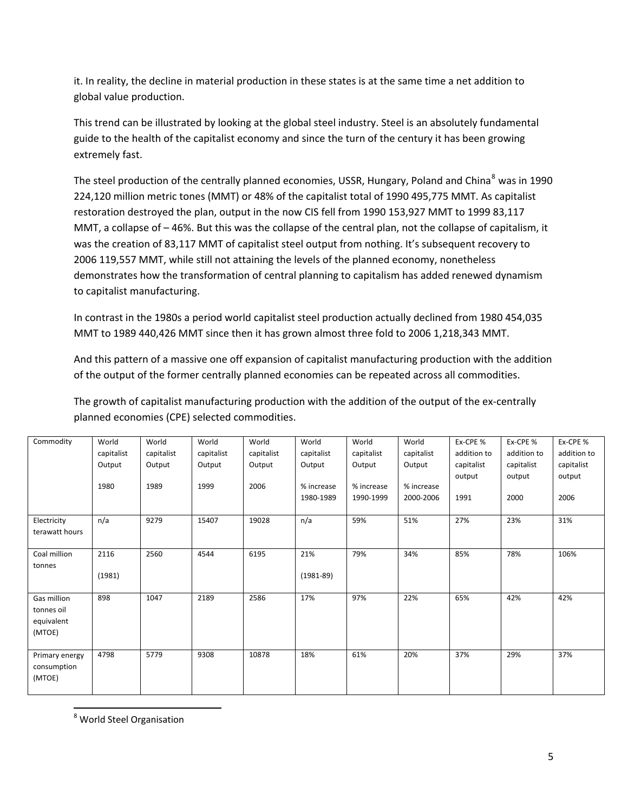it. In reality, the decline in material production in these states is at the same time a net addition to global value production.

This trend can be illustrated by looking at the global steel industry. Steel is an absolutely fundamental guide to the health of the capitalist economy and since the turn of the century it has been growing extremely fast.

The steel production of the centrally planned economies, USSR, Hungary, Poland and China<sup>[8](#page-4-0)</sup> was in 1990 224,120 million metric tones (MMT) or 48% of the capitalist total of 1990 495,775 MMT. As capitalist restoration destroyed the plan, output in the now CIS fell from 1990 153,927 MMT to 1999 83,117 MMT, a collapse of – 46%. But this was the collapse of the central plan, not the collapse of capitalism, it was the creation of 83,117 MMT of capitalist steel output from nothing. It's subsequent recovery to 2006 119,557 MMT, while still not attaining the levels of the planned economy, nonetheless demonstrates how the transformation of central planning to capitalism has added renewed dynamism to capitalist manufacturing.

In contrast in the 1980s a period world capitalist steel production actually declined from 1980 454,035 MMT to 1989 440,426 MMT since then it has grown almost three fold to 2006 1,218,343 MMT.

And this pattern of a massive one off expansion of capitalist manufacturing production with the addition of the output of the former centrally planned economies can be repeated across all commodities.

The growth of capitalist manufacturing production with the addition of the output of the ex-centrally planned economies (CPE) selected commodities.

| Commodity                     | World      | World      | World      | World      | World         | World      | World      | Ex-CPE %    | Ex-CPE%     | Ex-CPE %    |
|-------------------------------|------------|------------|------------|------------|---------------|------------|------------|-------------|-------------|-------------|
|                               | capitalist | capitalist | capitalist | capitalist | capitalist    | capitalist | capitalist | addition to | addition to | addition to |
|                               | Output     | Output     | Output     | Output     | Output        | Output     | Output     | capitalist  | capitalist  | capitalist  |
|                               |            |            |            |            |               |            |            | output      | output      | output      |
|                               | 1980       | 1989       | 1999       | 2006       | % increase    | % increase | % increase |             |             |             |
|                               |            |            |            |            | 1980-1989     | 1990-1999  | 2000-2006  | 1991        | 2000        | 2006        |
| Electricity<br>terawatt hours | n/a        | 9279       | 15407      | 19028      | n/a           | 59%        | 51%        | 27%         | 23%         | 31%         |
| Coal million                  | 2116       | 2560       | 4544       | 6195       | 21%           | 79%        | 34%        | 85%         | 78%         | 106%        |
| tonnes                        |            |            |            |            |               |            |            |             |             |             |
|                               | (1981)     |            |            |            | $(1981 - 89)$ |            |            |             |             |             |
| Gas million                   | 898        | 1047       | 2189       | 2586       | 17%           | 97%        | 22%        | 65%         | 42%         | 42%         |
| tonnes oil                    |            |            |            |            |               |            |            |             |             |             |
| equivalent                    |            |            |            |            |               |            |            |             |             |             |
| (MTOE)                        |            |            |            |            |               |            |            |             |             |             |
|                               |            |            |            |            |               |            |            |             |             |             |
| Primary energy                | 4798       | 5779       | 9308       | 10878      | 18%           | 61%        | 20%        | 37%         | 29%         | 37%         |
| consumption                   |            |            |            |            |               |            |            |             |             |             |
| (MTOE)                        |            |            |            |            |               |            |            |             |             |             |
|                               |            |            |            |            |               |            |            |             |             |             |

<span id="page-4-0"></span> <sup>8</sup> World Steel Organisation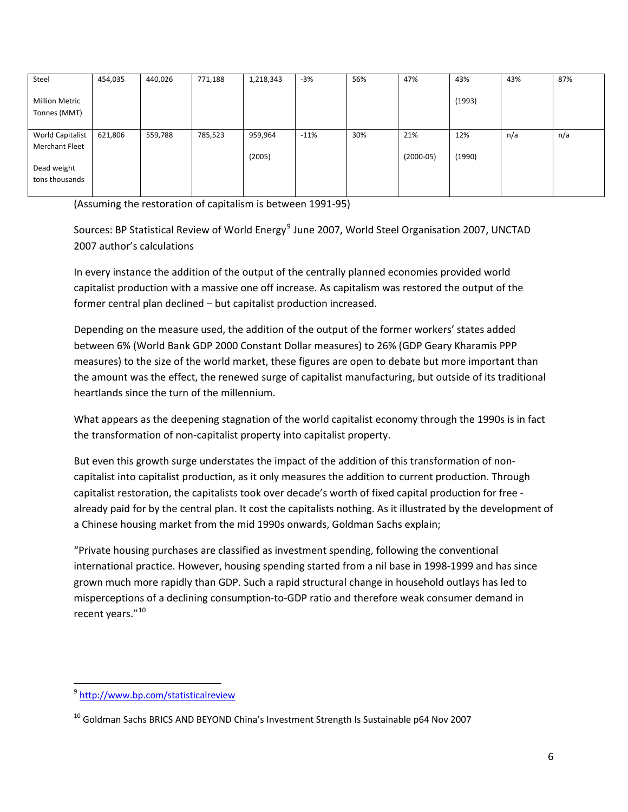| Steel                   | 454,035 | 440,026 | 771,188 | 1,218,343 | $-3%$  | 56% | 47%         | 43%    | 43% | 87% |
|-------------------------|---------|---------|---------|-----------|--------|-----|-------------|--------|-----|-----|
| Million Metric          |         |         |         |           |        |     |             | (1993) |     |     |
| Tonnes (MMT)            |         |         |         |           |        |     |             |        |     |     |
|                         |         |         |         |           |        |     |             |        |     |     |
| <b>World Capitalist</b> | 621,806 | 559,788 | 785,523 | 959,964   | $-11%$ | 30% | 21%         | 12%    | n/a | n/a |
| Merchant Fleet          |         |         |         |           |        |     |             |        |     |     |
|                         |         |         |         | (2005)    |        |     | $(2000-05)$ | (1990) |     |     |
| Dead weight             |         |         |         |           |        |     |             |        |     |     |
| tons thousands          |         |         |         |           |        |     |             |        |     |     |
|                         |         |         |         |           |        |     |             |        |     |     |

(Assuming the restoration of capitalism is between 1991‐95)

Sources: BP Statistical Review of World Energy<sup>[9](#page-5-0)</sup> June 2007, World Steel Organisation 2007, UNCTAD 2007 author's calculations

In every instance the addition of the output of the centrally planned economies provided world capitalist production with a massive one off increase. As capitalism was restored the output of the former central plan declined – but capitalist production increased.

Depending on the measure used, the addition of the output of the former workers' states added between 6% (World Bank GDP 2000 Constant Dollar measures) to 26% (GDP Geary Kharamis PPP measures) to the size of the world market, these figures are open to debate but more important than the amount was the effect, the renewed surge of capitalist manufacturing, but outside of its traditional heartlands since the turn of the millennium.

What appears as the deepening stagnation of the world capitalist economy through the 1990s is in fact the transformation of non‐capitalist property into capitalist property.

But even this growth surge understates the impact of the addition of this transformation of non‐ capitalist into capitalist production, as it only measures the addition to current production. Through capitalist restoration, the capitalists took over decade's worth of fixed capital production for free ‐ already paid for by the central plan. It cost the capitalists nothing. As it illustrated by the development of a Chinese housing market from the mid 1990s onwards, Goldman Sachs explain;

"Private housing purchases are classified as investment spending, following the conventional international practice. However, housing spending started from a nil base in 1998‐1999 and has since grown much more rapidly than GDP. Such a rapid structural change in household outlays has led to misperceptions of a declining consumption‐to‐GDP ratio and therefore weak consumer demand in recent years."[10](#page-5-1)

<span id="page-5-0"></span> <sup>9</sup> <http://www.bp.com/statisticalreview>

<span id="page-5-1"></span> $10$  Goldman Sachs BRICS AND BEYOND China's Investment Strength Is Sustainable p64 Nov 2007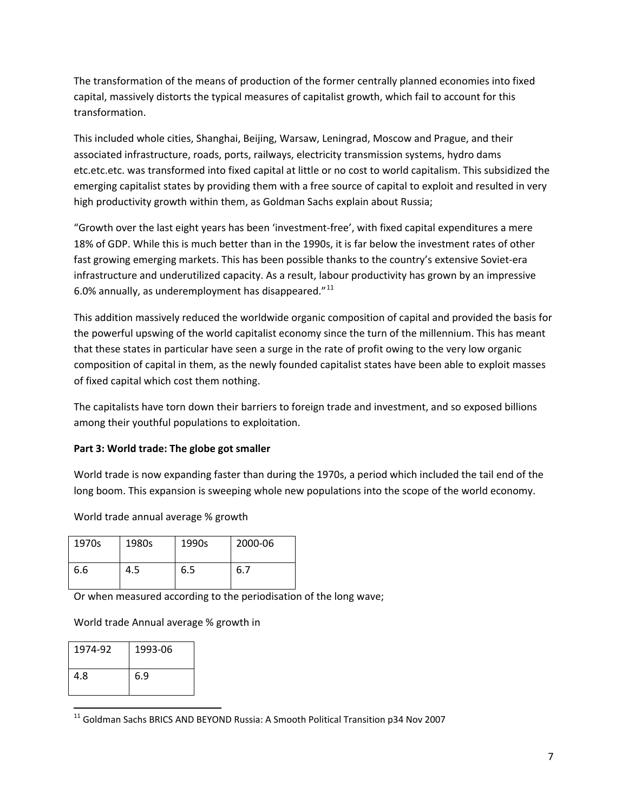The transformation of the means of production of the former centrally planned economies into fixed capital, massively distorts the typical measures of capitalist growth, which fail to account for this transformation.

This included whole cities, Shanghai, Beijing, Warsaw, Leningrad, Moscow and Prague, and their associated infrastructure, roads, ports, railways, electricity transmission systems, hydro dams etc.etc.etc. was transformed into fixed capital at little or no cost to world capitalism. This subsidized the emerging capitalist states by providing them with a free source of capital to exploit and resulted in very high productivity growth within them, as Goldman Sachs explain about Russia;

"Growth over the last eight years has been 'investment‐free', with fixed capital expenditures a mere 18% of GDP. While this is much better than in the 1990s, it is far below the investment rates of other fast growing emerging markets. This has been possible thanks to the country's extensive Soviet-era infrastructure and underutilized capacity. As a result, labour productivity has grown by an impressive 6.0% annually, as underemployment has disappeared. $"^{11}$  $"^{11}$  $"^{11}$ 

This addition massively reduced the worldwide organic composition of capital and provided the basis for the powerful upswing of the world capitalist economy since the turn of the millennium. This has meant that these states in particular have seen a surge in the rate of profit owing to the very low organic composition of capital in them, as the newly founded capitalist states have been able to exploit masses of fixed capital which cost them nothing.

The capitalists have torn down their barriers to foreign trade and investment, and so exposed billions among their youthful populations to exploitation.

## **Part 3: World trade: The globe got smaller**

World trade is now expanding faster than during the 1970s, a period which included the tail end of the long boom. This expansion is sweeping whole new populations into the scope of the world economy.

World trade annual average % growth

| 1970s | 1980s | 1990s | 2000-06 |
|-------|-------|-------|---------|
| 6.6   | 4.5   | 6.5   | 6.7     |

Or when measured according to the periodisation of the long wave;

### World trade Annual average % growth in

| 1974-92 | 1993-06 |
|---------|---------|
| 4.8     | 6.9     |

<span id="page-6-0"></span>  $^{11}$  Goldman Sachs BRICS AND BEYOND Russia: A Smooth Political Transition p34 Nov 2007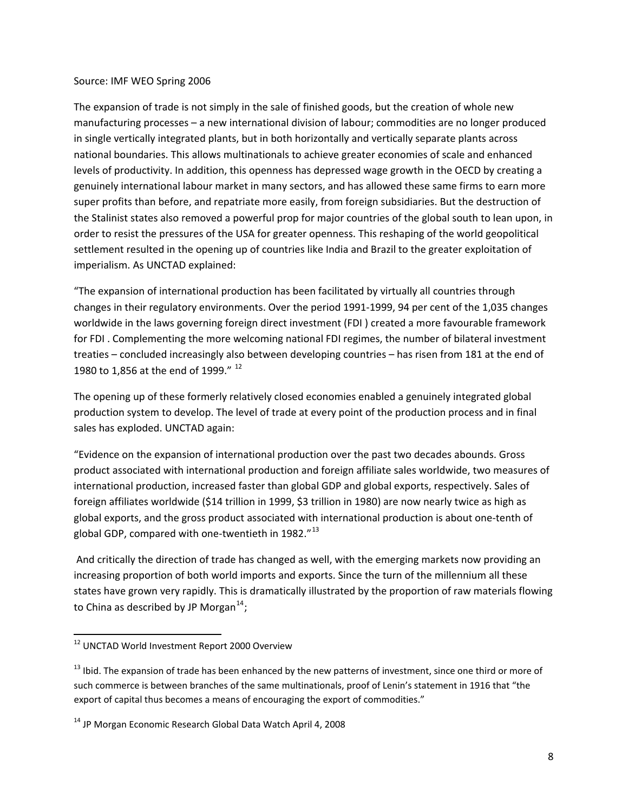#### Source: IMF WEO Spring 2006

The expansion of trade is not simply in the sale of finished goods, but the creation of whole new manufacturing processes – a new international division of labour; commodities are no longer produced in single vertically integrated plants, but in both horizontally and vertically separate plants across national boundaries. This allows multinationals to achieve greater economies of scale and enhanced levels of productivity. In addition, this openness has depressed wage growth in the OECD by creating a genuinely international labour market in many sectors, and has allowed these same firms to earn more super profits than before, and repatriate more easily, from foreign subsidiaries. But the destruction of the Stalinist states also removed a powerful prop for major countries of the global south to lean upon, in order to resist the pressures of the USA for greater openness. This reshaping of the world geopolitical settlement resulted in the opening up of countries like India and Brazil to the greater exploitation of imperialism. As UNCTAD explained:

"The expansion of international production has been facilitated by virtually all countries through changes in their regulatory environments. Over the period 1991‐1999, 94 per cent of the 1,035 changes worldwide in the laws governing foreign direct investment (FDI ) created a more favourable framework for FDI . Complementing the more welcoming national FDI regimes, the number of bilateral investment treaties – concluded increasingly also between developing countries – has risen from 181 at the end of 1980 to 1,856 at the end of 1999." <sup>[12](#page-7-0)</sup>

The opening up of these formerly relatively closed economies enabled a genuinely integrated global production system to develop. The level of trade at every point of the production process and in final sales has exploded. UNCTAD again:

"Evidence on the expansion of international production over the past two decades abounds. Gross product associated with international production and foreign affiliate sales worldwide, two measures of international production, increased faster than global GDP and global exports, respectively. Sales of foreign affiliates worldwide (\$14 trillion in 1999, \$3 trillion in 1980) are now nearly twice as high as global exports, and the gross product associated with international production is about one‐tenth of global GDP, compared with one-twentieth in 1982."<sup>[13](#page-7-1)</sup>

And critically the direction of trade has changed as well, with the emerging markets now providing an increasing proportion of both world imports and exports. Since the turn of the millennium all these states have grown very rapidly. This is dramatically illustrated by the proportion of raw materials flowing to China as described by JP Morgan<sup>[14](#page-7-2)</sup>;

<span id="page-7-0"></span><sup>&</sup>lt;sup>12</sup> UNCTAD World Investment Report 2000 Overview

<span id="page-7-1"></span><sup>&</sup>lt;sup>13</sup> Ibid. The expansion of trade has been enhanced by the new patterns of investment, since one third or more of such commerce is between branches of the same multinationals, proof of Lenin's statement in 1916 that "the export of capital thus becomes a means of encouraging the export of commodities."

<span id="page-7-2"></span> $14$  JP Morgan Economic Research Global Data Watch April 4, 2008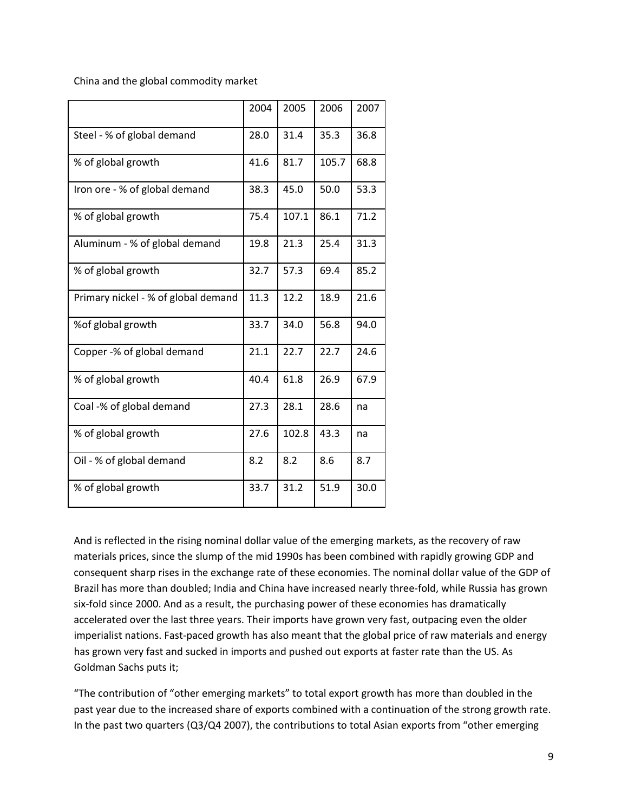China and the global commodity market

|                                     | 2004 | 2005  | 2006  | 2007 |
|-------------------------------------|------|-------|-------|------|
| Steel - % of global demand          | 28.0 | 31.4  | 35.3  | 36.8 |
| % of global growth                  | 41.6 | 81.7  | 105.7 | 68.8 |
| Iron ore - % of global demand       | 38.3 | 45.0  | 50.0  | 53.3 |
| % of global growth                  | 75.4 | 107.1 | 86.1  | 71.2 |
| Aluminum - % of global demand       | 19.8 | 21.3  | 25.4  | 31.3 |
| % of global growth                  | 32.7 | 57.3  | 69.4  | 85.2 |
| Primary nickel - % of global demand | 11.3 | 12.2  | 18.9  | 21.6 |
| %of global growth                   | 33.7 | 34.0  | 56.8  | 94.0 |
| Copper -% of global demand          | 21.1 | 22.7  | 22.7  | 24.6 |
| % of global growth                  | 40.4 | 61.8  | 26.9  | 67.9 |
| Coal -% of global demand            | 27.3 | 28.1  | 28.6  | na   |
| % of global growth                  | 27.6 | 102.8 | 43.3  | na   |
| Oil - % of global demand            | 8.2  | 8.2   | 8.6   | 8.7  |
| % of global growth                  | 33.7 | 31.2  | 51.9  | 30.0 |

And is reflected in the rising nominal dollar value of the emerging markets, as the recovery of raw materials prices, since the slump of the mid 1990s has been combined with rapidly growing GDP and consequent sharp rises in the exchange rate of these economies. The nominal dollar value of the GDP of Brazil has more than doubled; India and China have increased nearly three‐fold, while Russia has grown six-fold since 2000. And as a result, the purchasing power of these economies has dramatically accelerated over the last three years. Their imports have grown very fast, outpacing even the older imperialist nations. Fast‐paced growth has also meant that the global price of raw materials and energy has grown very fast and sucked in imports and pushed out exports at faster rate than the US. As Goldman Sachs puts it;

"The contribution of "other emerging markets" to total export growth has more than doubled in the past year due to the increased share of exports combined with a continuation of the strong growth rate. In the past two quarters (Q3/Q4 2007), the contributions to total Asian exports from "other emerging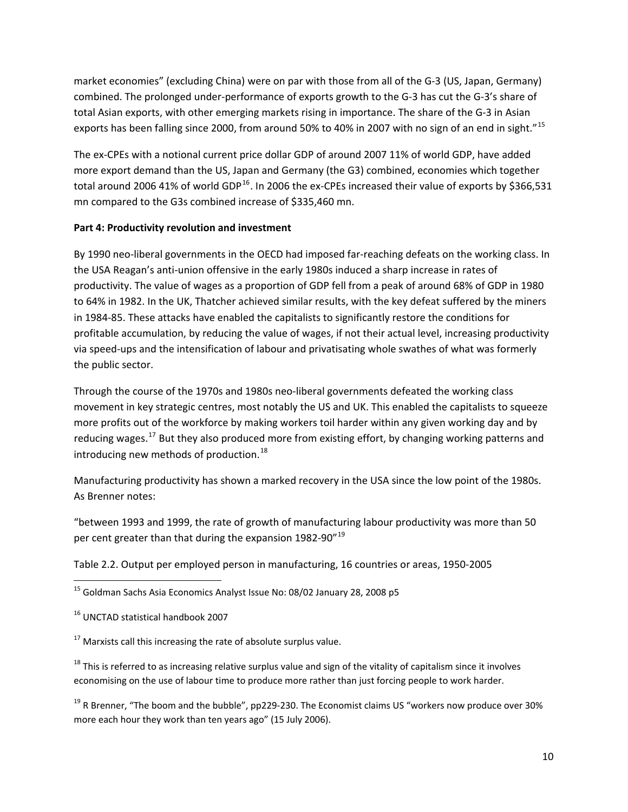market economies" (excluding China) were on par with those from all of the G‐3 (US, Japan, Germany) combined. The prolonged under‐performance of exports growth to the G‐3 has cut the G‐3's share of total Asian exports, with other emerging markets rising in importance. The share of the G‐3 in Asian exports has been falling since 2000, from around 50% to 40% in 2007 with no sign of an end in sight."[15](#page-9-0)

The ex-CPEs with a notional current price dollar GDP of around 2007 11% of world GDP, have added more export demand than the US, Japan and Germany (the G3) combined, economies which together total around 2006 41% of world GDP<sup>[16](#page-9-1)</sup>. In 2006 the ex-CPEs increased their value of exports by \$366,531 mn compared to the G3s combined increase of \$335,460 mn.

### **Part 4: Productivity revolution and investment**

By 1990 neo-liberal governments in the OECD had imposed far-reaching defeats on the working class. In the USA Reagan's anti‐union offensive in the early 1980s induced a sharp increase in rates of productivity. The value of wages as a proportion of GDP fell from a peak of around 68% of GDP in 1980 to 64% in 1982. In the UK, Thatcher achieved similar results, with the key defeat suffered by the miners in 1984‐85. These attacks have enabled the capitalists to significantly restore the conditions for profitable accumulation, by reducing the value of wages, if not their actual level, increasing productivity via speed-ups and the intensification of labour and privatisating whole swathes of what was formerly the public sector.

Through the course of the 1970s and 1980s neo‐liberal governments defeated the working class movement in key strategic centres, most notably the US and UK. This enabled the capitalists to squeeze more profits out of the workforce by making workers toil harder within any given working day and by reducing wages.<sup>[17](#page-9-2)</sup> But they also produced more from existing effort, by changing working patterns and introducing new methods of production.<sup>[18](#page-9-3)</sup>

Manufacturing productivity has shown a marked recovery in the USA since the low point of the 1980s. As Brenner notes:

"between 1993 and 1999, the rate of growth of manufacturing labour productivity was more than 50 per cent greater than that during the expansion [19](#page-9-4)82-90"<sup>19</sup>

Table 2.2. Output per employed person in manufacturing, 16 countries or areas, 1950‐2005

<span id="page-9-2"></span> $17$  Marxists call this increasing the rate of absolute surplus value.

<span id="page-9-3"></span> $18$  This is referred to as increasing relative surplus value and sign of the vitality of capitalism since it involves economising on the use of labour time to produce more rather than just forcing people to work harder.

<span id="page-9-4"></span> $19$  R Brenner, "The boom and the bubble", pp229-230. The Economist claims US "workers now produce over 30% more each hour they work than ten years ago" (15 July 2006).

<span id="page-9-0"></span> <sup>15</sup> Goldman Sachs Asia Economics Analyst Issue No: 08/02 January 28, 2008 p5

<span id="page-9-1"></span><sup>16</sup> UNCTAD statistical handbook 2007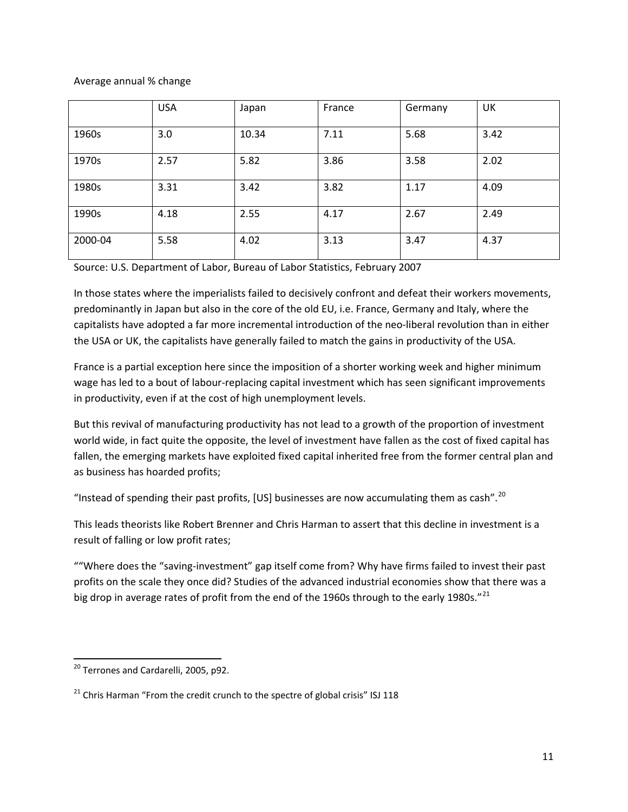### Average annual % change

|         | <b>USA</b> | Japan | France | Germany | UK   |
|---------|------------|-------|--------|---------|------|
| 1960s   | 3.0        | 10.34 | 7.11   | 5.68    | 3.42 |
| 1970s   | 2.57       | 5.82  | 3.86   | 3.58    | 2.02 |
| 1980s   | 3.31       | 3.42  | 3.82   | 1.17    | 4.09 |
| 1990s   | 4.18       | 2.55  | 4.17   | 2.67    | 2.49 |
| 2000-04 | 5.58       | 4.02  | 3.13   | 3.47    | 4.37 |

Source: U.S. Department of Labor, Bureau of Labor Statistics, February 2007

In those states where the imperialists failed to decisively confront and defeat their workers movements, predominantly in Japan but also in the core of the old EU, i.e. France, Germany and Italy, where the capitalists have adopted a far more incremental introduction of the neo‐liberal revolution than in either the USA or UK, the capitalists have generally failed to match the gains in productivity of the USA.

France is a partial exception here since the imposition of a shorter working week and higher minimum wage has led to a bout of labour-replacing capital investment which has seen significant improvements in productivity, even if at the cost of high unemployment levels.

But this revival of manufacturing productivity has not lead to a growth of the proportion of investment world wide, in fact quite the opposite, the level of investment have fallen as the cost of fixed capital has fallen, the emerging markets have exploited fixed capital inherited free from the former central plan and as business has hoarded profits;

"Instead of spending their past profits, [US] businesses are now accumulating them as cash".<sup>[20](#page-10-0)</sup>

This leads theorists like Robert Brenner and Chris Harman to assert that this decline in investment is a result of falling or low profit rates;

""Where does the "saving‐investment" gap itself come from? Why have firms failed to invest their past profits on the scale they once did? Studies of the advanced industrial economies show that there was a big drop in average rates of profit from the end of the 1960s through to the early 1980s."<sup>[21](#page-10-1)</sup>

<span id="page-10-0"></span> <sup>20</sup> Terrones and Cardarelli, 2005, p92.

<span id="page-10-1"></span> $21$  Chris Harman "From the credit crunch to the spectre of global crisis" ISJ 118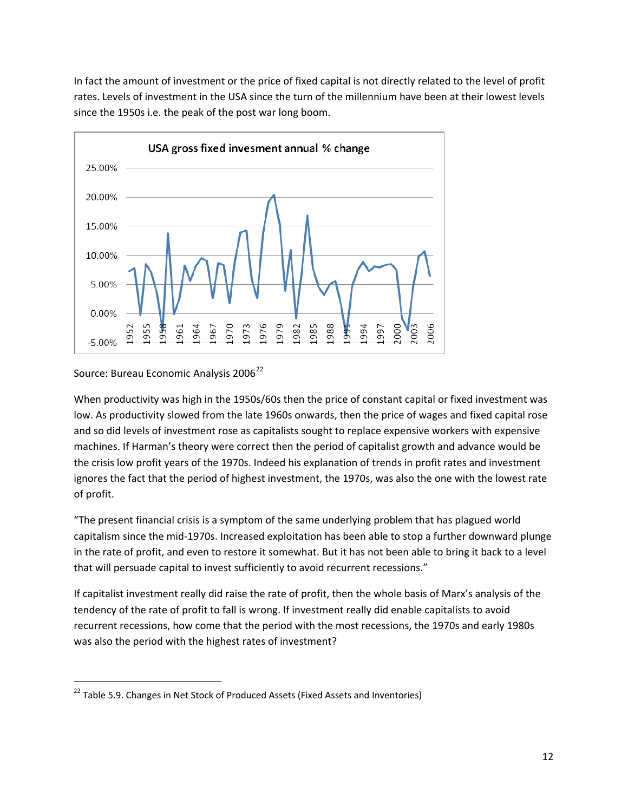In fact the amount of investment or the price of fixed capital is not directly related to the level of profit rates. Levels of investment in the USA since the turn of the millennium have been at their lowest levels since the 1950s i.e. the peak of the post war long boom.



Source: Bureau Economic Analysis 2006<sup>[22](#page-11-0)</sup>

When productivity was high in the 1950s/60s then the price of constant capital or fixed investment was low. As productivity slowed from the late 1960s onwards, then the price of wages and fixed capital rose and so did levels of investment rose as capitalists sought to replace expensive workers with expensive machines. If Harman's theory were correct then the period of capitalist growth and advance would be the crisis low profit years of the 1970s. Indeed his explanation of trends in profit rates and investment ignores the fact that the period of highest investment, the 1970s, was also the one with the lowest rate of profit.

"The present financial crisis is a symptom of the same underlying problem that has plagued world capitalism since the mid‐1970s. Increased exploitation has been able to stop a further downward plunge in the rate of profit, and even to restore it somewhat. But it has not been able to bring it back to a level that will persuade capital to invest sufficiently to avoid recurrent recessions."

If capitalist investment really did raise the rate of profit, then the whole basis of Marx's analysis of the tendency of the rate of profit to fall is wrong. If investment really did enable capitalists to avoid recurrent recessions, how come that the period with the most recessions, the 1970s and early 1980s was also the period with the highest rates of investment?

<span id="page-11-0"></span> $22$  Table 5.9. Changes in Net Stock of Produced Assets (Fixed Assets and Inventories)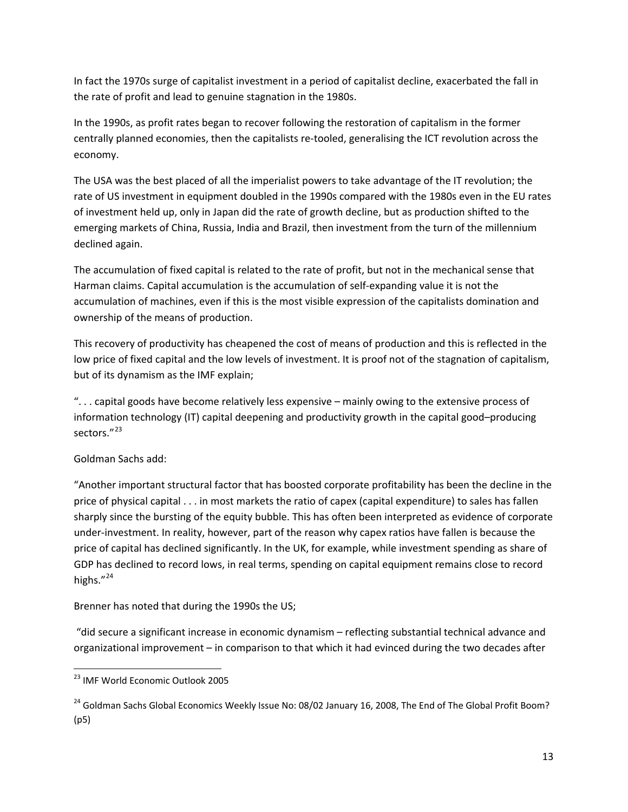In fact the 1970s surge of capitalist investment in a period of capitalist decline, exacerbated the fall in the rate of profit and lead to genuine stagnation in the 1980s.

In the 1990s, as profit rates began to recover following the restoration of capitalism in the former centrally planned economies, then the capitalists re‐tooled, generalising the ICT revolution across the economy.

The USA was the best placed of all the imperialist powers to take advantage of the IT revolution; the rate of US investment in equipment doubled in the 1990s compared with the 1980s even in the EU rates of investment held up, only in Japan did the rate of growth decline, but as production shifted to the emerging markets of China, Russia, India and Brazil, then investment from the turn of the millennium declined again.

The accumulation of fixed capital is related to the rate of profit, but not in the mechanical sense that Harman claims. Capital accumulation is the accumulation of self‐expanding value it is not the accumulation of machines, even if this is the most visible expression of the capitalists domination and ownership of the means of production.

This recovery of productivity has cheapened the cost of means of production and this is reflected in the low price of fixed capital and the low levels of investment. It is proof not of the stagnation of capitalism, but of its dynamism as the IMF explain;

". . . capital goods have become relatively less expensive – mainly owing to the extensive process of information technology (IT) capital deepening and productivity growth in the capital good–producing sectors."<sup>[23](#page-12-0)</sup>

## Goldman Sachs add:

"Another important structural factor that has boosted corporate profitability has been the decline in the price of physical capital . . . in most markets the ratio of capex (capital expenditure) to sales has fallen sharply since the bursting of the equity bubble. This has often been interpreted as evidence of corporate under‐investment. In reality, however, part of the reason why capex ratios have fallen is because the price of capital has declined significantly. In the UK, for example, while investment spending as share of GDP has declined to record lows, in real terms, spending on capital equipment remains close to record highs." $^{24}$  $^{24}$  $^{24}$ 

Brenner has noted that during the 1990s the US;

"did secure a significant increase in economic dynamism – reflecting substantial technical advance and organizational improvement – in comparison to that which it had evinced during the two decades after

<span id="page-12-0"></span> <sup>23</sup> IMF World Economic Outlook 2005

<span id="page-12-1"></span><sup>&</sup>lt;sup>24</sup> Goldman Sachs Global Economics Weekly Issue No: 08/02 January 16, 2008, The End of The Global Profit Boom?  $(p5)$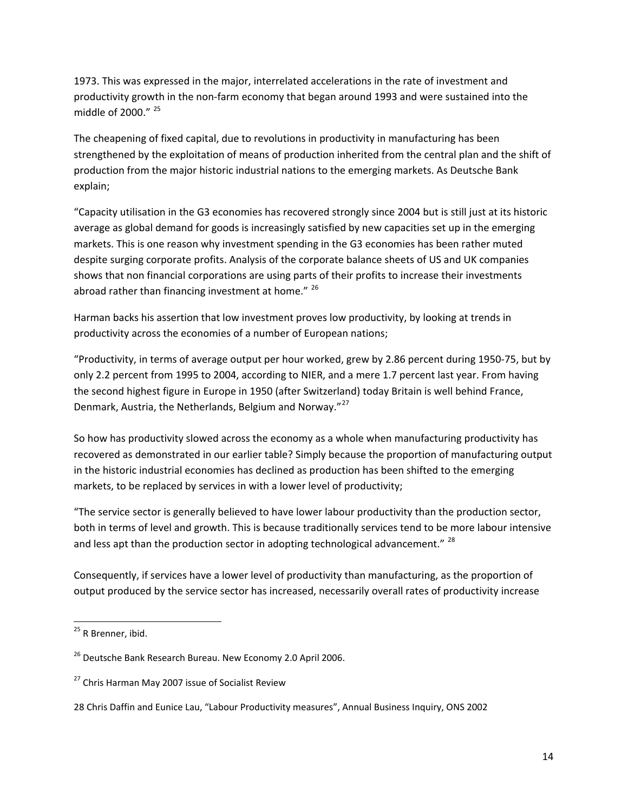1973. This was expressed in the major, interrelated accelerations in the rate of investment and productivity growth in the non‐farm economy that began around 1993 and were sustained into the middle of 2000." [25](#page-13-0)

The cheapening of fixed capital, due to revolutions in productivity in manufacturing has been strengthened by the exploitation of means of production inherited from the central plan and the shift of production from the major historic industrial nations to the emerging markets. As Deutsche Bank explain;

"Capacity utilisation in the G3 economies has recovered strongly since 2004 but is still just at its historic average as global demand for goods is increasingly satisfied by new capacities set up in the emerging markets. This is one reason why investment spending in the G3 economies has been rather muted despite surging corporate profits. Analysis of the corporate balance sheets of US and UK companies shows that non financial corporations are using parts of their profits to increase their investments abroad rather than financing investment at home."<sup>[26](#page-13-1)</sup>

Harman backs his assertion that low investment proves low productivity, by looking at trends in productivity across the economies of a number of European nations;

"Productivity, in terms of average output per hour worked, grew by 2.86 percent during 1950‐75, but by only 2.2 percent from 1995 to 2004, according to NIER, and a mere 1.7 percent last year. From having the second highest figure in Europe in 1950 (after Switzerland) today Britain is well behind France, Denmark, Austria, the Netherlands, Belgium and Norway."[27](#page-13-2)

So how has productivity slowed across the economy as a whole when manufacturing productivity has recovered as demonstrated in our earlier table? Simply because the proportion of manufacturing output in the historic industrial economies has declined as production has been shifted to the emerging markets, to be replaced by services in with a lower level of productivity;

"The service sector is generally believed to have lower labour productivity than the production sector, both in terms of level and growth. This is because traditionally services tend to be more labour intensive and less apt than the production sector in adopting technological advancement."  $^{28}$  $^{28}$  $^{28}$ 

Consequently, if services have a lower level of productivity than manufacturing, as the proportion of output produced by the service sector has increased, necessarily overall rates of productivity increase

<span id="page-13-0"></span><sup>&</sup>lt;sup>25</sup> R Brenner, ibid.

<span id="page-13-1"></span><sup>&</sup>lt;sup>26</sup> Deutsche Bank Research Bureau. New Economy 2.0 April 2006.

<span id="page-13-2"></span><sup>&</sup>lt;sup>27</sup> Chris Harman May 2007 issue of Socialist Review

<span id="page-13-3"></span><sup>28</sup> Chris Daffin and Eunice Lau, "Labour Productivity measures", Annual Business Inquiry, ONS 2002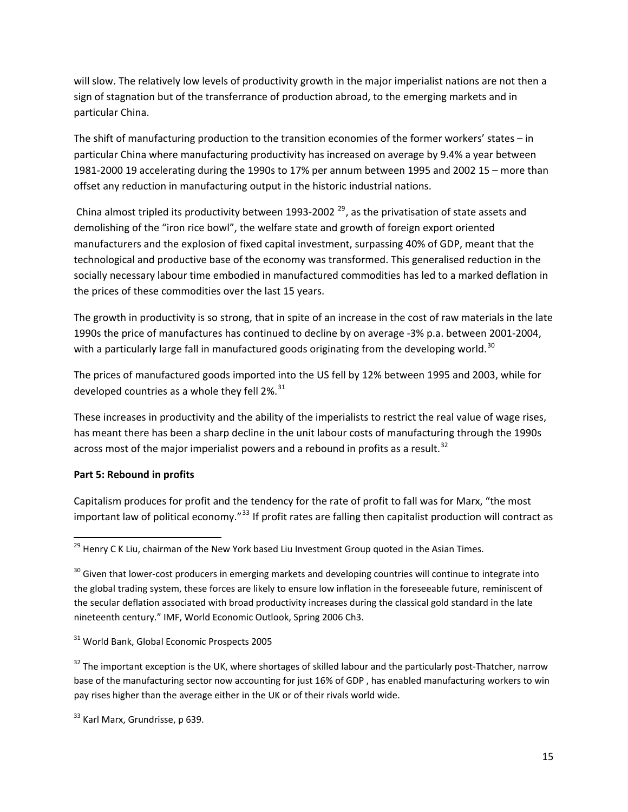will slow. The relatively low levels of productivity growth in the major imperialist nations are not then a sign of stagnation but of the transferrance of production abroad, to the emerging markets and in particular China.

The shift of manufacturing production to the transition economies of the former workers' states – in particular China where manufacturing productivity has increased on average by 9.4% a year between 1981‐2000 19 accelerating during the 1990s to 17% per annum between 1995 and 2002 15 – more than offset any reduction in manufacturing output in the historic industrial nations.

China almost tripled its productivity between 1993-2002<sup>[29](#page-14-0)</sup>, as the privatisation of state assets and demolishing of the "iron rice bowl", the welfare state and growth of foreign export oriented manufacturers and the explosion of fixed capital investment, surpassing 40% of GDP, meant that the technological and productive base of the economy was transformed. This generalised reduction in the socially necessary labour time embodied in manufactured commodities has led to a marked deflation in the prices of these commodities over the last 15 years.

The growth in productivity is so strong, that in spite of an increase in the cost of raw materials in the late 1990s the price of manufactures has continued to decline by on average ‐3% p.a. between 2001‐2004, with a particularly large fall in manufactured goods originating from the developing world.<sup>[30](#page-14-1)</sup>

The prices of manufactured goods imported into the US fell by 12% between 1995 and 2003, while for developed countries as a whole they fell  $2\%$ .  $31$ 

These increases in productivity and the ability of the imperialists to restrict the real value of wage rises, has meant there has been a sharp decline in the unit labour costs of manufacturing through the 1990s across most of the major imperialist powers and a rebound in profits as a result.<sup>[32](#page-14-3)</sup>

## **Part 5: Rebound in profits**

Capitalism produces for profit and the tendency for the rate of profit to fall was for Marx, "the most important law of political economy.<sup>"[33](#page-14-4)</sup> If profit rates are falling then capitalist production will contract as

<span id="page-14-0"></span> <sup>29</sup> Henry C K Liu, chairman of the New York based Liu Investment Group quoted in the Asian Times.

<span id="page-14-1"></span><sup>&</sup>lt;sup>30</sup> Given that lower-cost producers in emerging markets and developing countries will continue to integrate into the global trading system, these forces are likely to ensure low inflation in the foreseeable future, reminiscent of the secular deflation associated with broad productivity increases during the classical gold standard in the late nineteenth century." IMF, World Economic Outlook, Spring 2006 Ch3.

<span id="page-14-2"></span><sup>31</sup> World Bank, Global Economic Prospects 2005

<span id="page-14-3"></span><sup>&</sup>lt;sup>32</sup> The important exception is the UK, where shortages of skilled labour and the particularly post-Thatcher, narrow base of the manufacturing sector now accounting for just 16% of GDP , has enabled manufacturing workers to win pay rises higher than the average either in the UK or of their rivals world wide.

<span id="page-14-4"></span><sup>&</sup>lt;sup>33</sup> Karl Marx, Grundrisse, p 639.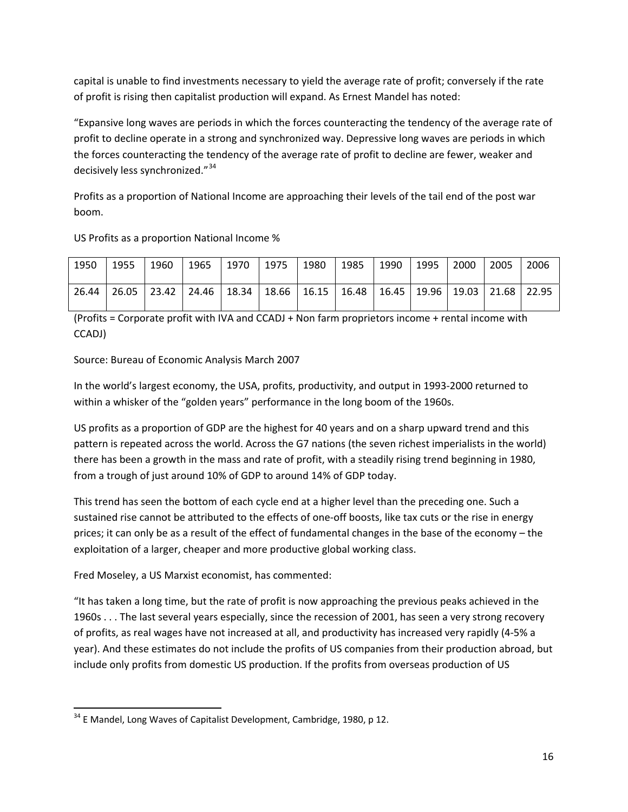capital is unable to find investments necessary to yield the average rate of profit; conversely if the rate of profit is rising then capitalist production will expand. As Ernest Mandel has noted:

"Expansive long waves are periods in which the forces counteracting the tendency of the average rate of profit to decline operate in a strong and synchronized way. Depressive long waves are periods in which the forces counteracting the tendency of the average rate of profit to decline are fewer, weaker and decisively less synchronized."[34](#page-15-0)

Profits as a proportion of National Income are approaching their levels of the tail end of the post war boom.

| 1950  | 1955  | 1960  | 1965  | 1970  | 1975  | 1980                    | 1985 | 1990 | 1995                  | 2000 | 2005 | 2006  |
|-------|-------|-------|-------|-------|-------|-------------------------|------|------|-----------------------|------|------|-------|
| 26.44 | 26.05 | 23.42 | 24.46 | 18.34 | 18.66 | $16.15$   16.48   16.45 |      |      | 19.96   19.03   21.68 |      |      | 22.95 |

US Profits as a proportion National Income %

(Profits = Corporate profit with IVA and CCADJ + Non farm proprietors income + rental income with CCADJ)

Source: Bureau of Economic Analysis March 2007

In the world's largest economy, the USA, profits, productivity, and output in 1993‐2000 returned to within a whisker of the "golden years" performance in the long boom of the 1960s.

US profits as a proportion of GDP are the highest for 40 years and on a sharp upward trend and this pattern is repeated across the world. Across the G7 nations (the seven richest imperialists in the world) there has been a growth in the mass and rate of profit, with a steadily rising trend beginning in 1980, from a trough of just around 10% of GDP to around 14% of GDP today.

This trend has seen the bottom of each cycle end at a higher level than the preceding one. Such a sustained rise cannot be attributed to the effects of one-off boosts, like tax cuts or the rise in energy prices; it can only be as a result of the effect of fundamental changes in the base of the economy – the exploitation of a larger, cheaper and more productive global working class.

Fred Moseley, a US Marxist economist, has commented:

"It has taken a long time, but the rate of profit is now approaching the previous peaks achieved in the 1960s . . . The last several years especially, since the recession of 2001, has seen a very strong recovery of profits, as real wages have not increased at all, and productivity has increased very rapidly (4‐5% a year). And these estimates do not include the profits of US companies from their production abroad, but include only profits from domestic US production. If the profits from overseas production of US

<span id="page-15-0"></span>  $34$  E Mandel, Long Waves of Capitalist Development, Cambridge, 1980, p 12.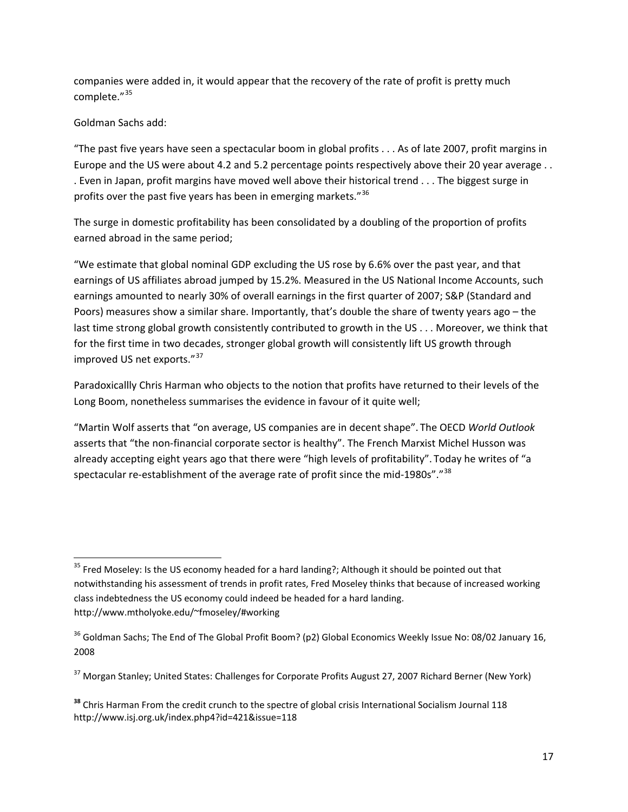companies were added in, it would appear that the recovery of the rate of profit is pretty much complete."<sup>[35](#page-16-0)</sup>

Goldman Sachs add:

"The past five years have seen a spectacular boom in global profits . . . As of late 2007, profit margins in Europe and the US were about 4.2 and 5.2 percentage points respectively above their 20 year average . . . Even in Japan, profit margins have moved well above their historical trend . . . The biggest surge in profits over the past five years has been in emerging markets."<sup>[36](#page-16-1)</sup>

The surge in domestic profitability has been consolidated by a doubling of the proportion of profits earned abroad in the same period;

"We estimate that global nominal GDP excluding the US rose by 6.6% over the past year, and that earnings of US affiliates abroad jumped by 15.2%. Measured in the US National Income Accounts, such earnings amounted to nearly 30% of overall earnings in the first quarter of 2007; S&P (Standard and Poors) measures show a similar share. Importantly, that's double the share of twenty years ago – the last time strong global growth consistently contributed to growth in the US . . . Moreover, we think that for the first time in two decades, stronger global growth will consistently lift US growth through improved US net exports."<sup>[37](#page-16-2)</sup>

Paradoxicallly Chris Harman who objects to the notion that profits have returned to their levels of the Long Boom, nonetheless summarises the evidence in favour of it quite well;

"Martin Wolf asserts that "on average, US companies are in decent shape". The OECD *World Outlook* asserts that "the non-financial corporate sector is healthy". The French Marxist Michel Husson was already accepting eight years ago that there were "high levels of profitability". Today he writes of "a spectacular re-establishment of the average rate of profit since the mid-1980s"." $38$ 

<span id="page-16-0"></span><sup>&</sup>lt;sup>35</sup> Fred Moseley: Is the US economy headed for a hard landing?; Although it should be pointed out that notwithstanding his assessment of trends in profit rates, Fred Moseley thinks that because of increased working class indebtedness the US economy could indeed be headed for a hard landing. http://www.mtholyoke.edu/~fmoseley/#working

<span id="page-16-1"></span><sup>&</sup>lt;sup>36</sup> Goldman Sachs; The End of The Global Profit Boom? (p2) Global Economics Weekly Issue No: 08/02 January 16, 2008

<span id="page-16-2"></span><sup>&</sup>lt;sup>37</sup> Morgan Stanley; United States: Challenges for Corporate Profits August 27, 2007 Richard Berner (New York)

<span id="page-16-3"></span>**<sup>38</sup>** Chris Harman From the credit crunch to the spectre of global crisis International Socialism Journal 118 http://www.isj.org.uk/index.php4?id=421&issue=118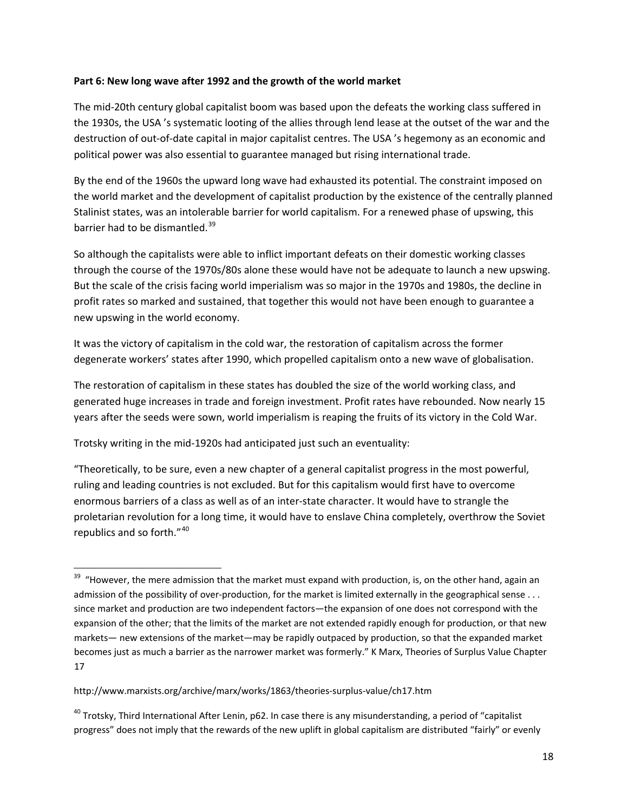### **Part 6: New long wave after 1992 and the growth of the world market**

The mid‐20th century global capitalist boom was based upon the defeats the working class suffered in the 1930s, the USA 's systematic looting of the allies through lend lease at the outset of the war and the destruction of out‐of‐date capital in major capitalist centres. The USA 's hegemony as an economic and political power was also essential to guarantee managed but rising international trade.

By the end of the 1960s the upward long wave had exhausted its potential. The constraint imposed on the world market and the development of capitalist production by the existence of the centrally planned Stalinist states, was an intolerable barrier for world capitalism. For a renewed phase of upswing, this barrier had to be dismantled.<sup>[39](#page-17-0)</sup>

So although the capitalists were able to inflict important defeats on their domestic working classes through the course of the 1970s/80s alone these would have not be adequate to launch a new upswing. But the scale of the crisis facing world imperialism was so major in the 1970s and 1980s, the decline in profit rates so marked and sustained, that together this would not have been enough to guarantee a new upswing in the world economy.

It was the victory of capitalism in the cold war, the restoration of capitalism across the former degenerate workers' states after 1990, which propelled capitalism onto a new wave of globalisation.

The restoration of capitalism in these states has doubled the size of the world working class, and generated huge increases in trade and foreign investment. Profit rates have rebounded. Now nearly 15 years after the seeds were sown, world imperialism is reaping the fruits of its victory in the Cold War.

Trotsky writing in the mid‐1920s had anticipated just such an eventuality:

"Theoretically, to be sure, even a new chapter of a general capitalist progress in the most powerful, ruling and leading countries is not excluded. But for this capitalism would first have to overcome enormous barriers of a class as well as of an inter-state character. It would have to strangle the proletarian revolution for a long time, it would have to enslave China completely, overthrow the Soviet republics and so forth."[40](#page-17-1)

#### http://www.marxists.org/archive/marx/works/1863/theories‐surplus‐value/ch17.htm

<span id="page-17-1"></span><sup>40</sup> Trotsky, Third International After Lenin, p62. In case there is any misunderstanding, a period of "capitalist progress" does not imply that the rewards of the new uplift in global capitalism are distributed "fairly" or evenly

<span id="page-17-0"></span><sup>&</sup>lt;sup>39</sup> "However, the mere admission that the market must expand with production, is, on the other hand, again an admission of the possibility of over-production, for the market is limited externally in the geographical sense ... since market and production are two independent factors—the expansion of one does not correspond with the expansion of the other; that the limits of the market are not extended rapidly enough for production, or that new markets— new extensions of the market—may be rapidly outpaced by production, so that the expanded market becomes just as much a barrier as the narrower market was formerly." K Marx, Theories of Surplus Value Chapter 17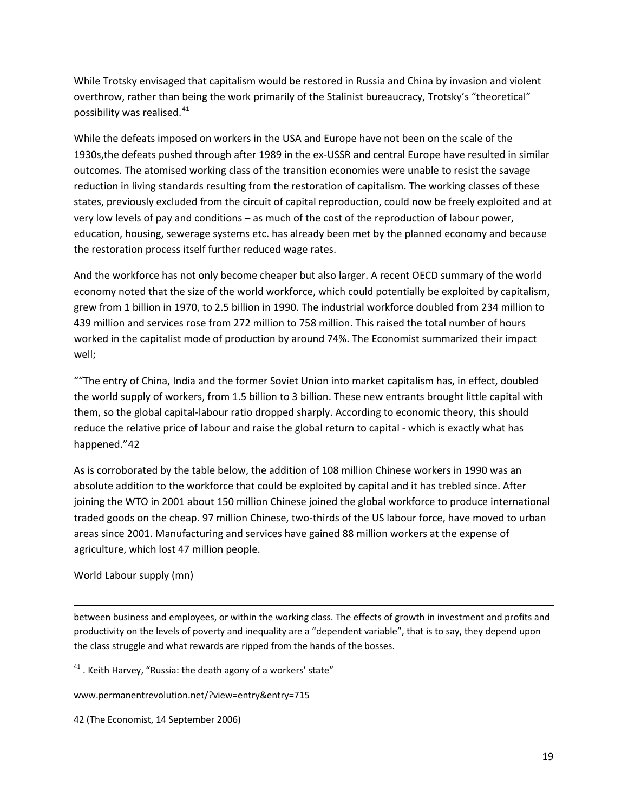While Trotsky envisaged that capitalism would be restored in Russia and China by invasion and violent overthrow, rather than being the work primarily of the Stalinist bureaucracy, Trotsky's "theoretical" possibility was realised.<sup>[41](#page-18-0)</sup>

While the defeats imposed on workers in the USA and Europe have not been on the scale of the 1930s,the defeats pushed through after 1989 in the ex‐USSR and central Europe have resulted in similar outcomes. The atomised working class of the transition economies were unable to resist the savage reduction in living standards resulting from the restoration of capitalism. The working classes of these states, previously excluded from the circuit of capital reproduction, could now be freely exploited and at very low levels of pay and conditions – as much of the cost of the reproduction of labour power, education, housing, sewerage systems etc. has already been met by the planned economy and because the restoration process itself further reduced wage rates.

And the workforce has not only become cheaper but also larger. A recent OECD summary of the world economy noted that the size of the world workforce, which could potentially be exploited by capitalism, grew from 1 billion in 1970, to 2.5 billion in 1990. The industrial workforce doubled from 234 million to 439 million and services rose from 272 million to 758 million. This raised the total number of hours worked in the capitalist mode of production by around 74%. The Economist summarized their impact well;

""The entry of China, India and the former Soviet Union into market capitalism has, in effect, doubled the world supply of workers, from 1.5 billion to 3 billion. These new entrants brought little capital with them, so the global capital‐labour ratio dropped sharply. According to economic theory, this should reduce the relative price of labour and raise the global return to capital ‐ which is exactly what has happened."[42](#page-18-1)

As is corroborated by the table below, the addition of 108 million Chinese workers in 1990 was an absolute addition to the workforce that could be exploited by capital and it has trebled since. After joining the WTO in 2001 about 150 million Chinese joined the global workforce to produce international traded goods on the cheap. 97 million Chinese, two-thirds of the US labour force, have moved to urban areas since 2001. Manufacturing and services have gained 88 million workers at the expense of agriculture, which lost 47 million people.

### World Labour supply (mn)

between business and employees, or within the working class. The effects of growth in investment and profits and productivity on the levels of poverty and inequality are a "dependent variable", that is to say, they depend upon the class struggle and what rewards are ripped from the hands of the bosses.

<u> Andrewski politika (za obrazu za obrazu za obrazu za obrazu za obrazu za obrazu za obrazu za obrazu za obrazu</u>

<span id="page-18-0"></span> $41$ . Keith Harvey, "Russia: the death agony of a workers' state"

www.permanentrevolution.net/?view=entry&entry=715

<span id="page-18-1"></span>42 (The Economist, 14 September 2006)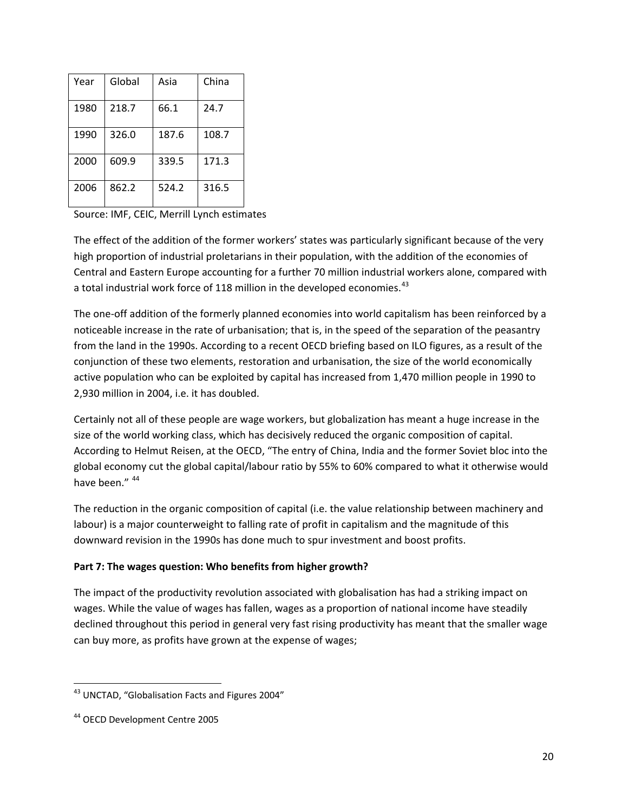| Year | Global | Asia  | China |
|------|--------|-------|-------|
| 1980 | 218.7  | 66.1  | 24.7  |
| 1990 | 326.0  | 187.6 | 108.7 |
| 2000 | 609.9  | 339.5 | 171.3 |
| 2006 | 862.2  | 524.2 | 316.5 |

Source: IMF, CEIC, Merrill Lynch estimates

The effect of the addition of the former workers' states was particularly significant because of the very high proportion of industrial proletarians in their population, with the addition of the economies of Central and Eastern Europe accounting for a further 70 million industrial workers alone, compared with a total industrial work force of 118 million in the developed economies.<sup>[43](#page-19-0)</sup>

The one‐off addition of the formerly planned economies into world capitalism has been reinforced by a noticeable increase in the rate of urbanisation; that is, in the speed of the separation of the peasantry from the land in the 1990s. According to a recent OECD briefing based on ILO figures, as a result of the conjunction of these two elements, restoration and urbanisation, the size of the world economically active population who can be exploited by capital has increased from 1,470 million people in 1990 to 2,930 million in 2004, i.e. it has doubled.

Certainly not all of these people are wage workers, but globalization has meant a huge increase in the size of the world working class, which has decisively reduced the organic composition of capital. According to Helmut Reisen, at the OECD, "The entry of China, India and the former Soviet bloc into the global economy cut the global capital/labour ratio by 55% to 60% compared to what it otherwise would have been." [44](#page-19-1)

The reduction in the organic composition of capital (i.e. the value relationship between machinery and labour) is a major counterweight to falling rate of profit in capitalism and the magnitude of this downward revision in the 1990s has done much to spur investment and boost profits.

## **Part 7: The wages question: Who benefits from higher growth?**

The impact of the productivity revolution associated with globalisation has had a striking impact on wages. While the value of wages has fallen, wages as a proportion of national income have steadily declined throughout this period in general very fast rising productivity has meant that the smaller wage can buy more, as profits have grown at the expense of wages;

<span id="page-19-0"></span>  $^{43}$  UNCTAD, "Globalisation Facts and Figures 2004"

<span id="page-19-1"></span><sup>44</sup> OECD Development Centre 2005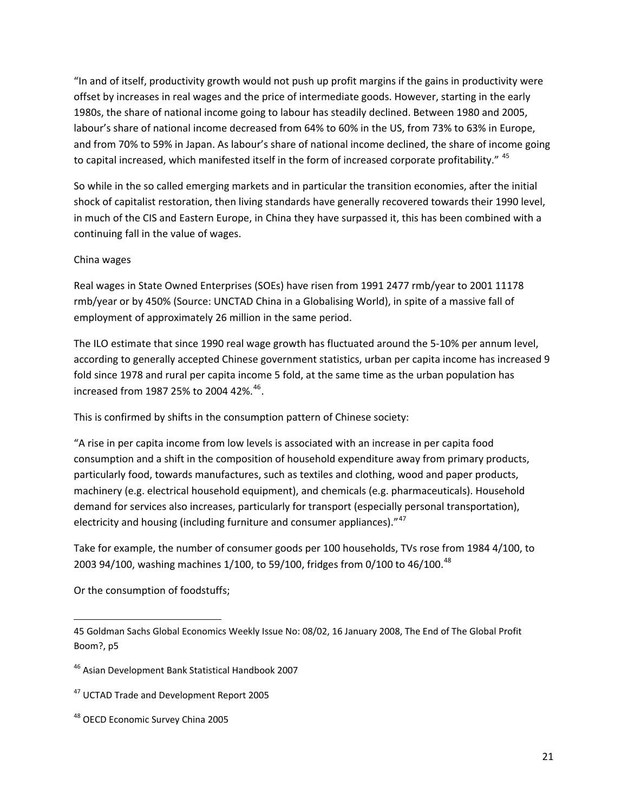"In and of itself, productivity growth would not push up profit margins if the gains in productivity were offset by increases in real wages and the price of intermediate goods. However, starting in the early 1980s, the share of national income going to labour has steadily declined. Between 1980 and 2005, labour's share of national income decreased from 64% to 60% in the US, from 73% to 63% in Europe, and from 70% to 59% in Japan. As labour's share of national income declined, the share of income going to capital increased, which manifested itself in the form of increased corporate profitability." <sup>[45](#page-20-0)</sup>

So while in the so called emerging markets and in particular the transition economies, after the initial shock of capitalist restoration, then living standards have generally recovered towards their 1990 level, in much of the CIS and Eastern Europe, in China they have surpassed it, this has been combined with a continuing fall in the value of wages.

### China wages

Real wages in State Owned Enterprises (SOEs) have risen from 1991 2477 rmb/year to 2001 11178 rmb/year or by 450% (Source: UNCTAD China in a Globalising World), in spite of a massive fall of employment of approximately 26 million in the same period.

The ILO estimate that since 1990 real wage growth has fluctuated around the 5‐10% per annum level, according to generally accepted Chinese government statistics, urban per capita income has increased 9 fold since 1978 and rural per capita income 5 fold, at the same time as the urban population has increased from 1987 25% to 2004 42%.<sup>[46](#page-20-1)</sup>.

This is confirmed by shifts in the consumption pattern of Chinese society:

"A rise in per capita income from low levels is associated with an increase in per capita food consumption and a shift in the composition of household expenditure away from primary products, particularly food, towards manufactures, such as textiles and clothing, wood and paper products, machinery (e.g. electrical household equipment), and chemicals (e.g. pharmaceuticals). Household demand for services also increases, particularly for transport (especially personal transportation), electricity and housing (including furniture and consumer appliances)."<sup>[47](#page-20-2)</sup>

Take for example, the number of consumer goods per 100 households, TVs rose from 1984 4/100, to 2003 94/100, washing machines 1/100, to 59/100, fridges from 0/100 to 46/100.<sup>[48](#page-20-3)</sup>

Or the consumption of foodstuffs;

<span id="page-20-0"></span><sup>45</sup> Goldman Sachs Global Economics Weekly Issue No: 08/02, 16 January 2008, The End of The Global Profit Boom?, p5

<span id="page-20-1"></span><sup>46</sup> Asian Development Bank Statistical Handbook 2007

<span id="page-20-2"></span><sup>&</sup>lt;sup>47</sup> UCTAD Trade and Development Report 2005

<span id="page-20-3"></span><sup>48</sup> OECD Economic Survey China 2005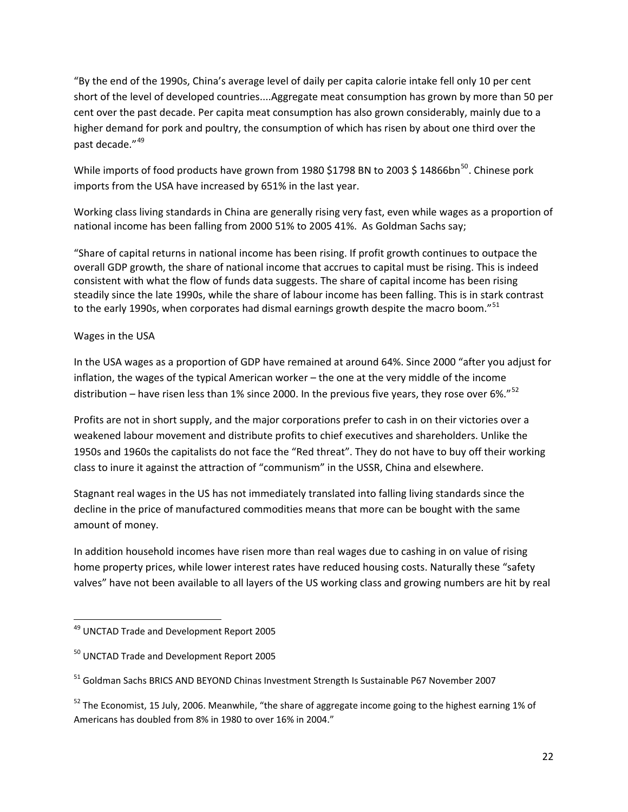"By the end of the 1990s, China's average level of daily per capita calorie intake fell only 10 per cent short of the level of developed countries....Aggregate meat consumption has grown by more than 50 per cent over the past decade. Per capita meat consumption has also grown considerably, mainly due to a higher demand for pork and poultry, the consumption of which has risen by about one third over the past decade."[49](#page-21-0)

While imports of food products have grown from 1980 \$1798 BN to 2003 \$14866bn<sup>[50](#page-21-1)</sup>. Chinese pork imports from the USA have increased by 651% in the last year.

Working class living standards in China are generally rising very fast, even while wages as a proportion of national income has been falling from 2000 51% to 2005 41%. As Goldman Sachs say;

"Share of capital returns in national income has been rising. If profit growth continues to outpace the overall GDP growth, the share of national income that accrues to capital must be rising. This is indeed consistent with what the flow of funds data suggests. The share of capital income has been rising steadily since the late 1990s, while the share of labour income has been falling. This is in stark contrast to the early 1990s, when corporates had dismal earnings growth despite the macro boom."<sup>[51](#page-21-2)</sup>

## Wages in the USA

In the USA wages as a proportion of GDP have remained at around 64%. Since 2000 "after you adjust for inflation, the wages of the typical American worker – the one at the very middle of the income distribution – have risen less than 1% since 2000. In the previous five years, they rose over 6%."<sup>[52](#page-21-3)</sup>

Profits are not in short supply, and the major corporations prefer to cash in on their victories over a weakened labour movement and distribute profits to chief executives and shareholders. Unlike the 1950s and 1960s the capitalists do not face the "Red threat". They do not have to buy off their working class to inure it against the attraction of "communism" in the USSR, China and elsewhere.

Stagnant real wages in the US has not immediately translated into falling living standards since the decline in the price of manufactured commodities means that more can be bought with the same amount of money.

In addition household incomes have risen more than real wages due to cashing in on value of rising home property prices, while lower interest rates have reduced housing costs. Naturally these "safety valves" have not been available to all layers of the US working class and growing numbers are hit by real

<span id="page-21-0"></span> 49 UNCTAD Trade and Development Report 2005

<span id="page-21-1"></span><sup>50</sup> UNCTAD Trade and Development Report 2005

<span id="page-21-2"></span><sup>&</sup>lt;sup>51</sup> Goldman Sachs BRICS AND BEYOND Chinas Investment Strength Is Sustainable P67 November 2007

<span id="page-21-3"></span><sup>&</sup>lt;sup>52</sup> The Economist, 15 July, 2006. Meanwhile, "the share of aggregate income going to the highest earning 1% of Americans has doubled from 8% in 1980 to over 16% in 2004."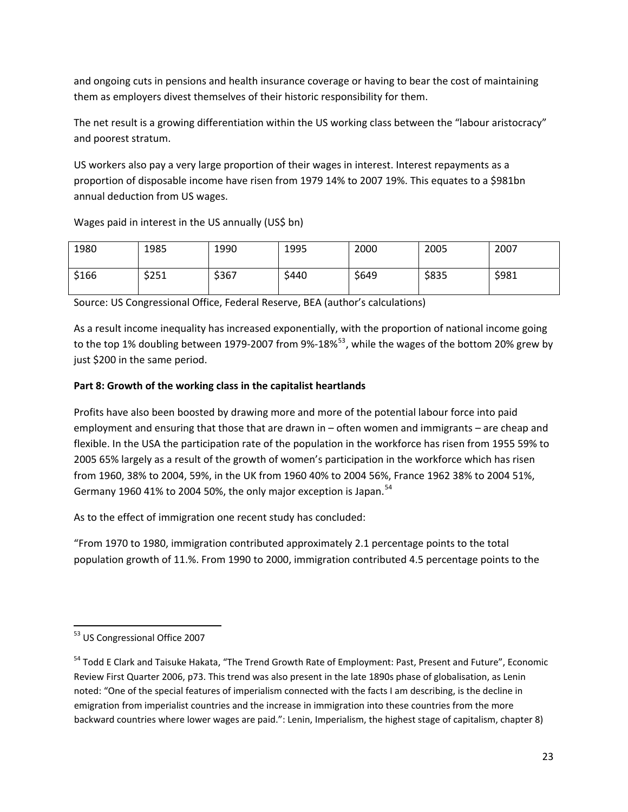and ongoing cuts in pensions and health insurance coverage or having to bear the cost of maintaining them as employers divest themselves of their historic responsibility for them.

The net result is a growing differentiation within the US working class between the "labour aristocracy" and poorest stratum.

US workers also pay a very large proportion of their wages in interest. Interest repayments as a proportion of disposable income have risen from 1979 14% to 2007 19%. This equates to a \$981bn annual deduction from US wages.

Wages paid in interest in the US annually (US\$ bn)

| 1980  | 1985  | 1990  | 1995  | 2000  | 2005  | 2007  |
|-------|-------|-------|-------|-------|-------|-------|
| \$166 | \$251 | \$367 | \$440 | \$649 | \$835 | \$981 |

Source: US Congressional Office, Federal Reserve, BEA (author's calculations)

As a result income inequality has increased exponentially, with the proportion of national income going to the top 1% doubling between 1979-2007 from 9%-18%<sup>[53](#page-22-0)</sup>, while the wages of the bottom 20% grew by just \$200 in the same period.

# **Part 8: Growth of the working class in the capitalist heartlands**

Profits have also been boosted by drawing more and more of the potential labour force into paid employment and ensuring that those that are drawn in – often women and immigrants – are cheap and flexible. In the USA the participation rate of the population in the workforce has risen from 1955 59% to 2005 65% largely as a result of the growth of women's participation in the workforce which has risen from 1960, 38% to 2004, 59%, in the UK from 1960 40% to 2004 56%, France 1962 38% to 2004 51%, Germany 1960 41% to 2004 50%, the only major exception is Japan.<sup>[54](#page-22-1)</sup>

As to the effect of immigration one recent study has concluded:

"From 1970 to 1980, immigration contributed approximately 2.1 percentage points to the total population growth of 11.%. From 1990 to 2000, immigration contributed 4.5 percentage points to the

<span id="page-22-0"></span> 53 US Congressional Office 2007

<span id="page-22-1"></span><sup>&</sup>lt;sup>54</sup> Todd E Clark and Taisuke Hakata, "The Trend Growth Rate of Employment: Past, Present and Future", Economic Review First Quarter 2006, p73. This trend was also present in the late 1890s phase of globalisation, as Lenin noted: "One of the special features of imperialism connected with the facts I am describing, is the decline in emigration from imperialist countries and the increase in immigration into these countries from the more backward countries where lower wages are paid.": Lenin, Imperialism, the highest stage of capitalism, chapter 8)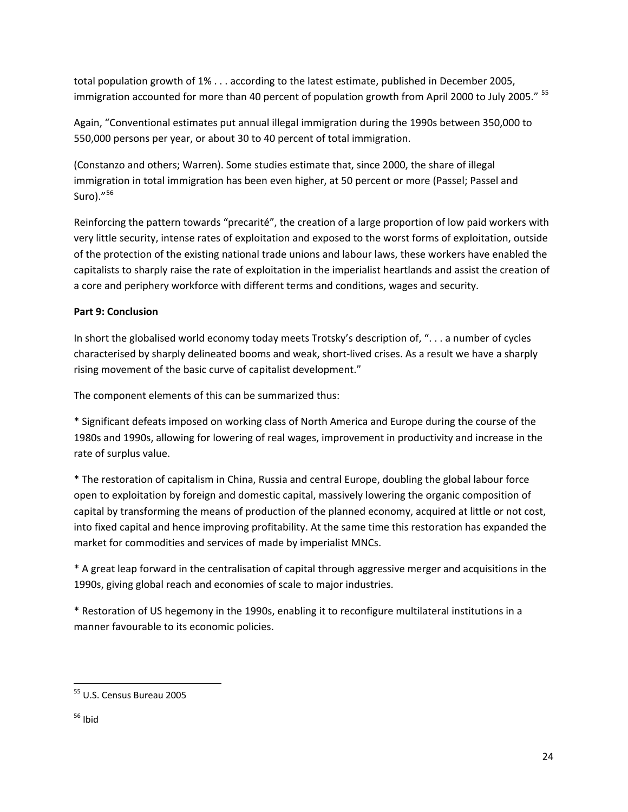total population growth of 1% . . . according to the latest estimate, published in December 2005, immigration accounted for more than 40 percent of population growth from April 2000 to July 2005." <sup>[55](#page-23-0)</sup>

Again, "Conventional estimates put annual illegal immigration during the 1990s between 350,000 to 550,000 persons per year, or about 30 to 40 percent of total immigration.

(Constanzo and others; Warren). Some studies estimate that, since 2000, the share of illegal immigration in total immigration has been even higher, at 50 percent or more (Passel; Passel and Suro)."[56](#page-23-1)

Reinforcing the pattern towards "precarité", the creation of a large proportion of low paid workers with very little security, intense rates of exploitation and exposed to the worst forms of exploitation, outside of the protection of the existing national trade unions and labour laws, these workers have enabled the capitalists to sharply raise the rate of exploitation in the imperialist heartlands and assist the creation of a core and periphery workforce with different terms and conditions, wages and security.

# **Part 9: Conclusion**

In short the globalised world economy today meets Trotsky's description of, ". . . a number of cycles characterised by sharply delineated booms and weak, short‐lived crises. As a result we have a sharply rising movement of the basic curve of capitalist development."

The component elements of this can be summarized thus:

\* Significant defeats imposed on working class of North America and Europe during the course of the 1980s and 1990s, allowing for lowering of real wages, improvement in productivity and increase in the rate of surplus value.

\* The restoration of capitalism in China, Russia and central Europe, doubling the global labour force open to exploitation by foreign and domestic capital, massively lowering the organic composition of capital by transforming the means of production of the planned economy, acquired at little or not cost, into fixed capital and hence improving profitability. At the same time this restoration has expanded the market for commodities and services of made by imperialist MNCs.

\* A great leap forward in the centralisation of capital through aggressive merger and acquisitions in the 1990s, giving global reach and economies of scale to major industries.

\* Restoration of US hegemony in the 1990s, enabling it to reconfigure multilateral institutions in a manner favourable to its economic policies.

<span id="page-23-1"></span><span id="page-23-0"></span> <sup>55</sup> U.S. Census Bureau 2005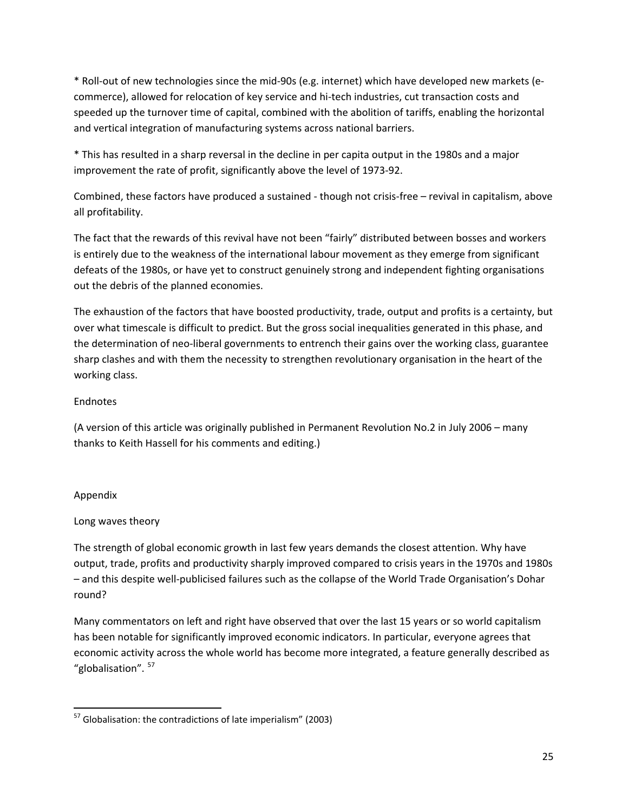\* Roll‐out of new technologies since the mid‐90s (e.g. internet) which have developed new markets (e‐ commerce), allowed for relocation of key service and hi‐tech industries, cut transaction costs and speeded up the turnover time of capital, combined with the abolition of tariffs, enabling the horizontal and vertical integration of manufacturing systems across national barriers.

\* This has resulted in a sharp reversal in the decline in per capita output in the 1980s and a major improvement the rate of profit, significantly above the level of 1973‐92.

Combined, these factors have produced a sustained ‐ though not crisis‐free – revival in capitalism, above all profitability.

The fact that the rewards of this revival have not been "fairly" distributed between bosses and workers is entirely due to the weakness of the international labour movement as they emerge from significant defeats of the 1980s, or have yet to construct genuinely strong and independent fighting organisations out the debris of the planned economies.

The exhaustion of the factors that have boosted productivity, trade, output and profits is a certainty, but over what timescale is difficult to predict. But the gross social inequalities generated in this phase, and the determination of neo-liberal governments to entrench their gains over the working class, guarantee sharp clashes and with them the necessity to strengthen revolutionary organisation in the heart of the working class.

## Endnotes

(A version of this article was originally published in Permanent Revolution No.2 in July 2006 – many thanks to Keith Hassell for his comments and editing.)

## Appendix

# Long waves theory

The strength of global economic growth in last few years demands the closest attention. Why have output, trade, profits and productivity sharply improved compared to crisis years in the 1970s and 1980s – and this despite well‐publicised failures such as the collapse of the World Trade Organisation's Dohar round?

Many commentators on left and right have observed that over the last 15 years or so world capitalism has been notable for significantly improved economic indicators. In particular, everyone agrees that economic activity across the whole world has become more integrated, a feature generally described as "globalisation".  $57$ 

<span id="page-24-0"></span>  $57$  Globalisation: the contradictions of late imperialism" (2003)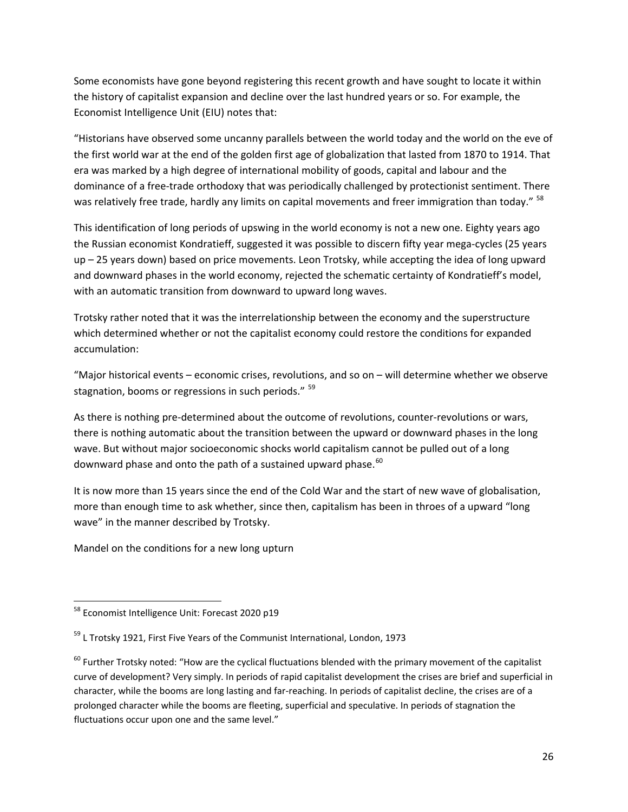Some economists have gone beyond registering this recent growth and have sought to locate it within the history of capitalist expansion and decline over the last hundred years or so. For example, the Economist Intelligence Unit (EIU) notes that:

"Historians have observed some uncanny parallels between the world today and the world on the eve of the first world war at the end of the golden first age of globalization that lasted from 1870 to 1914. That era was marked by a high degree of international mobility of goods, capital and labour and the dominance of a free‐trade orthodoxy that was periodically challenged by protectionist sentiment. There was relatively free trade, hardly any limits on capital movements and freer immigration than today." <sup>[58](#page-25-0)</sup>

This identification of long periods of upswing in the world economy is not a new one. Eighty years ago the Russian economist Kondratieff, suggested it was possible to discern fifty year mega‐cycles (25 years up – 25 years down) based on price movements. Leon Trotsky, while accepting the idea of long upward and downward phases in the world economy, rejected the schematic certainty of Kondratieff's model, with an automatic transition from downward to upward long waves.

Trotsky rather noted that it was the interrelationship between the economy and the superstructure which determined whether or not the capitalist economy could restore the conditions for expanded accumulation:

"Major historical events – economic crises, revolutions, and so on – will determine whether we observe stagnation, booms or regressions in such periods." <sup>[59](#page-25-1)</sup>

As there is nothing pre‐determined about the outcome of revolutions, counter‐revolutions or wars, there is nothing automatic about the transition between the upward or downward phases in the long wave. But without major socioeconomic shocks world capitalism cannot be pulled out of a long downward phase and onto the path of a sustained upward phase. $60$ 

It is now more than 15 years since the end of the Cold War and the start of new wave of globalisation, more than enough time to ask whether, since then, capitalism has been in throes of a upward "long wave" in the manner described by Trotsky.

Mandel on the conditions for a new long upturn

<span id="page-25-0"></span><sup>&</sup>lt;sup>58</sup> Economist Intelligence Unit: Forecast 2020 p19

<span id="page-25-1"></span><sup>&</sup>lt;sup>59</sup> L Trotsky 1921, First Five Years of the Communist International, London, 1973

<span id="page-25-2"></span> $60$  Further Trotsky noted: "How are the cyclical fluctuations blended with the primary movement of the capitalist curve of development? Very simply. In periods of rapid capitalist development the crises are brief and superficial in character, while the booms are long lasting and far-reaching. In periods of capitalist decline, the crises are of a prolonged character while the booms are fleeting, superficial and speculative. In periods of stagnation the fluctuations occur upon one and the same level."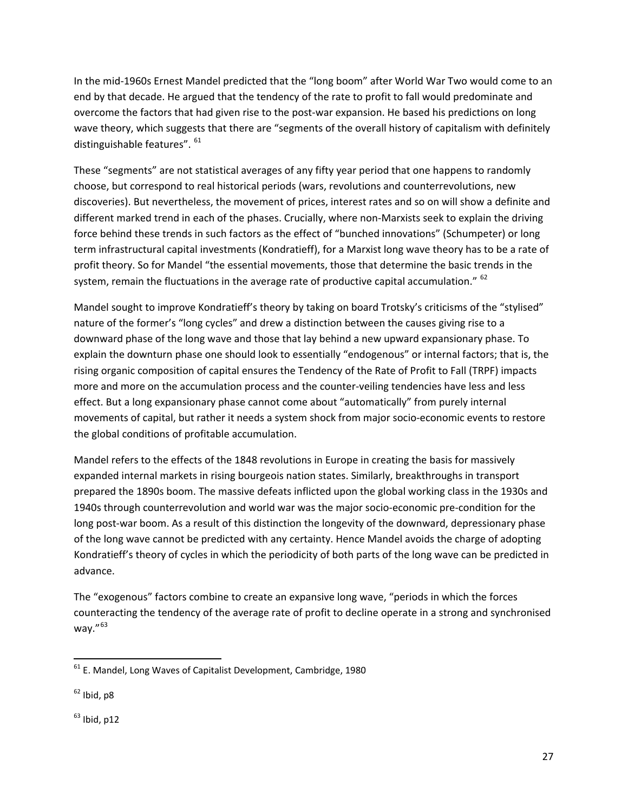In the mid‐1960s Ernest Mandel predicted that the "long boom" after World War Two would come to an end by that decade. He argued that the tendency of the rate to profit to fall would predominate and overcome the factors that had given rise to the post‐war expansion. He based his predictions on long wave theory, which suggests that there are "segments of the overall history of capitalism with definitely distinguishable features". <sup>[61](#page-26-0)</sup>

These "segments" are not statistical averages of any fifty year period that one happens to randomly choose, but correspond to real historical periods (wars, revolutions and counterrevolutions, new discoveries). But nevertheless, the movement of prices, interest rates and so on will show a definite and different marked trend in each of the phases. Crucially, where non‐Marxists seek to explain the driving force behind these trends in such factors as the effect of "bunched innovations" (Schumpeter) or long term infrastructural capital investments (Kondratieff), for a Marxist long wave theory has to be a rate of profit theory. So for Mandel "the essential movements, those that determine the basic trends in the system, remain the fluctuations in the average rate of productive capital accumulation." <sup>[62](#page-26-1)</sup>

Mandel sought to improve Kondratieff's theory by taking on board Trotsky's criticisms of the "stylised" nature of the former's "long cycles" and drew a distinction between the causes giving rise to a downward phase of the long wave and those that lay behind a new upward expansionary phase. To explain the downturn phase one should look to essentially "endogenous" or internal factors; that is, the rising organic composition of capital ensures the Tendency of the Rate of Profit to Fall (TRPF) impacts more and more on the accumulation process and the counter-veiling tendencies have less and less effect. But a long expansionary phase cannot come about "automatically" from purely internal movements of capital, but rather it needs a system shock from major socio‐economic events to restore the global conditions of profitable accumulation.

Mandel refers to the effects of the 1848 revolutions in Europe in creating the basis for massively expanded internal markets in rising bourgeois nation states. Similarly, breakthroughs in transport prepared the 1890s boom. The massive defeats inflicted upon the global working class in the 1930s and 1940s through counterrevolution and world war was the major socio‐economic pre‐condition for the long post-war boom. As a result of this distinction the longevity of the downward, depressionary phase of the long wave cannot be predicted with any certainty. Hence Mandel avoids the charge of adopting Kondratieff's theory of cycles in which the periodicity of both parts of the long wave can be predicted in advance.

The "exogenous" factors combine to create an expansive long wave, "periods in which the forces counteracting the tendency of the average rate of profit to decline operate in a strong and synchronised way. $^{\prime\prime}$ <sup>[63](#page-26-2)</sup>

<span id="page-26-0"></span> $61$  E. Mandel, Long Waves of Capitalist Development, Cambridge, 1980

<span id="page-26-1"></span> $62$  Ibid, p8

<span id="page-26-2"></span> $63$  Ibid, p12